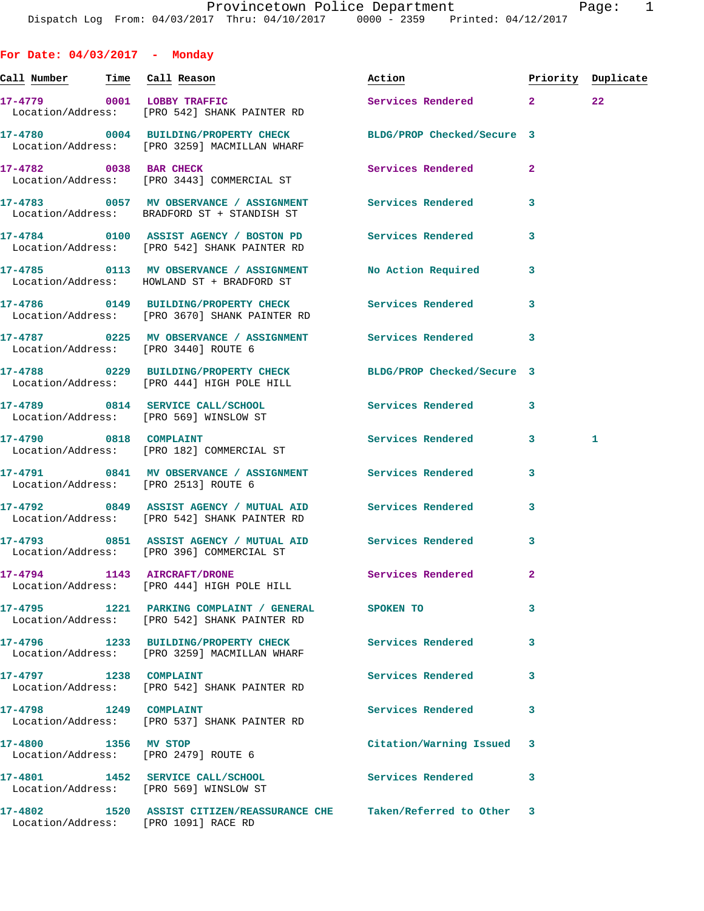**For Date: 04/03/2017 - Monday Call Number Time Call Reason Action Priority Duplicate 17-4779 0001 LOBBY TRAFFIC Services Rendered 2 22**  Location/Address: [PRO 542] SHANK PAINTER RD **17-4780 0004 BUILDING/PROPERTY CHECK BLDG/PROP Checked/Secure 3**  Location/Address: [PRO 3259] MACMILLAN WHARF **17-4782** 0038 BAR CHECK **Services Rendered** 2 Location/Address: [PRO 3443] COMMERCIAL ST **17-4783 0057 MV OBSERVANCE / ASSIGNMENT Services Rendered 3**  Location/Address: BRADFORD ST + STANDISH ST **17-4784 0100 ASSIST AGENCY / BOSTON PD Services Rendered 3**  Location/Address: [PRO 542] SHANK PAINTER RD **17-4785 0113 MV OBSERVANCE / ASSIGNMENT No Action Required 3**  Location/Address: HOWLAND ST + BRADFORD ST **17-4786 0149 BUILDING/PROPERTY CHECK Services Rendered 3**  Location/Address: [PRO 3670] SHANK PAINTER RD **17-4787 0225 MV OBSERVANCE / ASSIGNMENT Services Rendered 3**  Location/Address: [PRO 3440] ROUTE 6 **17-4788 0229 BUILDING/PROPERTY CHECK BLDG/PROP Checked/Secure 3**  Location/Address: [PRO 444] HIGH POLE HILL **17-4789 0814 SERVICE CALL/SCHOOL Services Rendered 3**  Location/Address: [PRO 569] WINSLOW ST **17-4790 0818 COMPLAINT Services Rendered 3 1**  Location/Address: [PRO 182] COMMERCIAL ST **17-4791 0841 MV OBSERVANCE / ASSIGNMENT Services Rendered 3**  Location/Address: [PRO 2513] ROUTE 6 **17-4792 0849 ASSIST AGENCY / MUTUAL AID Services Rendered 3**  Location/Address: [PRO 542] SHANK PAINTER RD **17-4793 0851 ASSIST AGENCY / MUTUAL AID Services Rendered 3**  Location/Address: [PRO 396] COMMERCIAL ST **17-4794 1143 AIRCRAFT/DRONE Services Rendered 2**  Location/Address: [PRO 444] HIGH POLE HILL **17-4795 1221 PARKING COMPLAINT / GENERAL SPOKEN TO 3**  Location/Address: [PRO 542] SHANK PAINTER RD **17-4796 1233 BUILDING/PROPERTY CHECK Services Rendered 3**  Location/Address: [PRO 3259] MACMILLAN WHARF 17-4797 1238 COMPLAINT **120 1228 COMPLAINT**  Location/Address: [PRO 542] SHANK PAINTER RD 17-4798 1249 COMPLAINT **17-4798** Services Rendered 3 Location/Address: [PRO 537] SHANK PAINTER RD **17-4800 1356 MV STOP Citation/Warning Issued 3** 

 Location/Address: [PRO 2479] ROUTE 6 **17-4801 1452 SERVICE CALL/SCHOOL Services Rendered 3**  Location/Address: [PRO 569] WINSLOW ST **17-4802 1520 ASSIST CITIZEN/REASSURANCE CHE Taken/Referred to Other 3**  Location/Address: [PRO 1091] RACE RD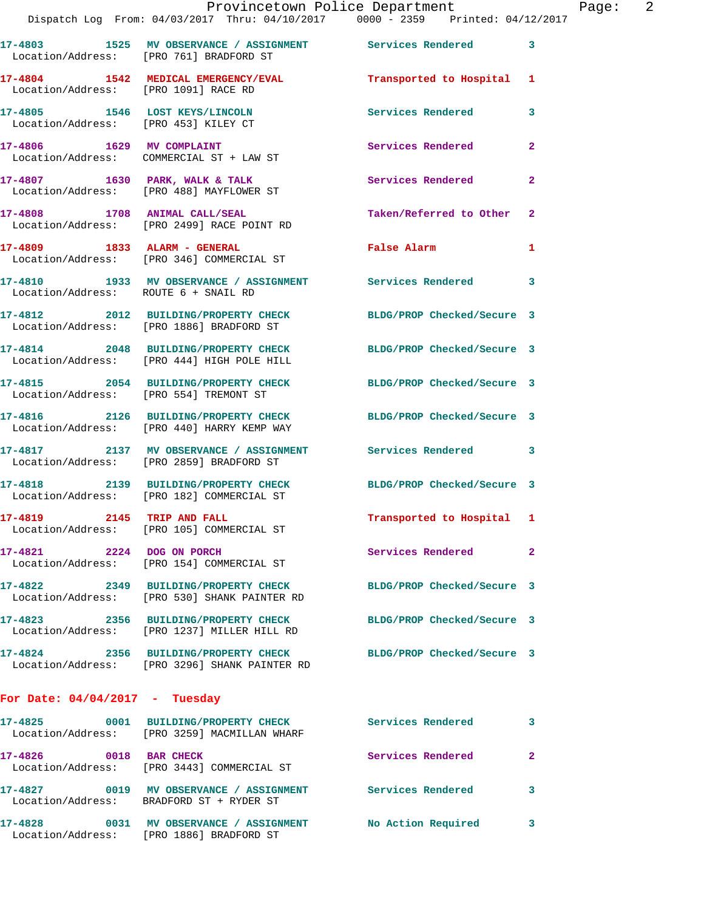|                                                                        | 14/14/ DISPACCH LOG From 04/03/2017 INru 04/10/2017 0000 - 2359 Princed 04/12                              |                            |                         |
|------------------------------------------------------------------------|------------------------------------------------------------------------------------------------------------|----------------------------|-------------------------|
|                                                                        | 17-4803 1525 MV OBSERVANCE / ASSIGNMENT Services Rendered 3<br>Location/Address: [PRO 761] BRADFORD ST     |                            |                         |
| Location/Address: [PRO 1091] RACE RD                                   | 17-4804 1542 MEDICAL EMERGENCY/EVAL                                                                        | Transported to Hospital 1  |                         |
| 17-4805 1546 LOST KEYS/LINCOLN<br>Location/Address: [PRO 453] KILEY CT |                                                                                                            | Services Rendered          | 3                       |
|                                                                        | 17-4806 1629 MV COMPLAINT<br>Location/Address: COMMERCIAL ST + LAW ST                                      | <b>Services Rendered</b>   | $\mathbf{2}$            |
|                                                                        | $17-4807$ 1630 PARK, WALK & TALK<br>Location/Address: [PRO 488] MAYFLOWER ST                               | Services Rendered          | $\mathbf{2}$            |
|                                                                        | 17-4808 1708 ANIMAL CALL/SEAL<br>Location/Address: [PRO 2499] RACE POINT RD                                | Taken/Referred to Other 2  |                         |
| 17-4809 1833 ALARM - GENERAL                                           | Location/Address: [PRO 346] COMMERCIAL ST                                                                  | <b>False Alarm</b>         | $\mathbf{1}$            |
| Location/Address: ROUTE 6 + SNAIL RD                                   | 17-4810 1933 MV OBSERVANCE / ASSIGNMENT Services Rendered 3                                                |                            |                         |
|                                                                        | 17-4812 2012 BUILDING/PROPERTY CHECK<br>Location/Address: [PRO 1886] BRADFORD ST                           | BLDG/PROP Checked/Secure 3 |                         |
|                                                                        | 17-4814 2048 BUILDING/PROPERTY CHECK<br>Location/Address: [PRO 444] HIGH POLE HILL                         | BLDG/PROP Checked/Secure 3 |                         |
| Location/Address: [PRO 554] TREMONT ST                                 | 17-4815 2054 BUILDING/PROPERTY CHECK                                                                       | BLDG/PROP Checked/Secure 3 |                         |
|                                                                        | 17-4816 2126 BUILDING/PROPERTY CHECK<br>Location/Address: [PRO 440] HARRY KEMP WAY                         | BLDG/PROP Checked/Secure 3 |                         |
|                                                                        | 17-4817 		 2137 MV OBSERVANCE / ASSIGNMENT Services Rendered 3<br>Location/Address: [PRO 2859] BRADFORD ST |                            |                         |
| 17-4818                                                                | 2139 BUILDING/PROPERTY CHECK BLDG/PROP Checked/Secure 3<br>Location/Address: [PRO 182] COMMERCIAL ST       |                            |                         |
|                                                                        | 17-4819 2145 TRIP AND FALL<br>Location/Address: [PRO 105] COMMERCIAL ST                                    | Transported to Hospital 1  |                         |
| 17-4821 2224 DOG ON PORCH                                              | Location/Address: [PRO 154] COMMERCIAL ST                                                                  | Services Rendered          | $\mathbf{2}$            |
|                                                                        | 17-4822 2349 BUILDING/PROPERTY CHECK<br>Location/Address: [PRO 530] SHANK PAINTER RD                       | BLDG/PROP Checked/Secure 3 |                         |
| 17-4823                                                                | 2356 BUILDING/PROPERTY CHECK<br>Location/Address: [PRO 1237] MILLER HILL RD                                | BLDG/PROP Checked/Secure 3 |                         |
|                                                                        | 17-4824 2356 BUILDING/PROPERTY CHECK<br>Location/Address: [PRO 3296] SHANK PAINTER RD                      | BLDG/PROP Checked/Secure 3 |                         |
| For Date: 04/04/2017 - Tuesday                                         |                                                                                                            |                            |                         |
|                                                                        | 17-4825 0001 BUILDING/PROPERTY CHECK<br>Location/Address: [PRO 3259] MACMILLAN WHARF                       | <b>Services Rendered</b>   | $\overline{\mathbf{3}}$ |
| 17-4826 0018 BAR CHECK                                                 | Location/Address: [PRO 3443] COMMERCIAL ST                                                                 | Services Rendered          | $\mathbf{2}$            |
|                                                                        | 17-4827 0019 MV OBSERVANCE / ASSIGNMENT<br>Location/Address: BRADFORD ST + RYDER ST                        | <b>Services Rendered</b>   | 3                       |

**17-4828 0031 MV OBSERVANCE / ASSIGNMENT No Action Required 3**  Location/Address: [PRO 1886] BRADFORD ST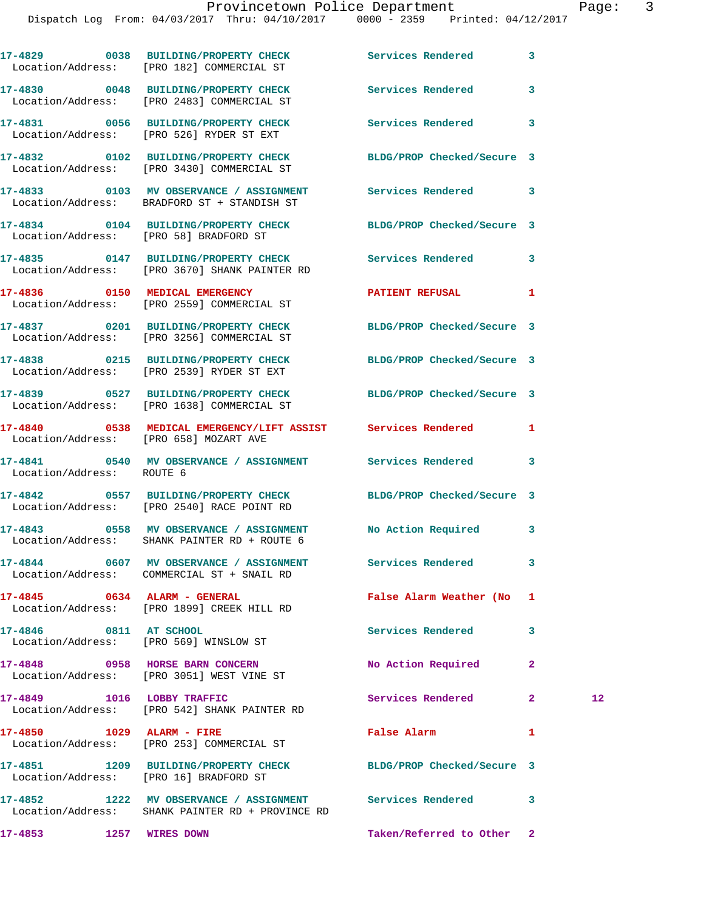|                              | 17-4829 0038 BUILDING/PROPERTY CHECK Services Rendered 3<br>Location/Address: [PRO 182] COMMERCIAL ST         |                            |              |    |
|------------------------------|---------------------------------------------------------------------------------------------------------------|----------------------------|--------------|----|
|                              | 17-4830 0048 BUILDING/PROPERTY CHECK Services Rendered<br>Location/Address: [PRO 2483] COMMERCIAL ST          |                            | 3            |    |
|                              | 17-4831 0056 BUILDING/PROPERTY CHECK<br>Location/Address: [PRO 526] RYDER ST EXT                              | Services Rendered 3        |              |    |
|                              | 17-4832 0102 BUILDING/PROPERTY CHECK<br>Location/Address: [PRO 3430] COMMERCIAL ST                            | BLDG/PROP Checked/Secure 3 |              |    |
|                              | 17-4833 0103 MV OBSERVANCE / ASSIGNMENT Services Rendered 3<br>Location/Address: BRADFORD ST + STANDISH ST    |                            |              |    |
|                              | 17-4834 0104 BUILDING/PROPERTY CHECK BLDG/PROP Checked/Secure 3<br>Location/Address: [PRO 58] BRADFORD ST     |                            |              |    |
|                              | 17-4835 0147 BUILDING/PROPERTY CHECK Services Rendered 3<br>Location/Address: [PRO 3670] SHANK PAINTER RD     |                            |              |    |
|                              | 17-4836 0150 MEDICAL EMERGENCY<br>Location/Address: [PRO 2559] COMMERCIAL ST                                  | <b>PATIENT REFUSAL</b>     | 1            |    |
|                              | 17-4837 0201 BUILDING/PROPERTY CHECK BLDG/PROP Checked/Secure 3<br>Location/Address: [PRO 3256] COMMERCIAL ST |                            |              |    |
|                              | 17-4838 0215 BUILDING/PROPERTY CHECK BLDG/PROP Checked/Secure 3<br>Location/Address: [PRO 2539] RYDER ST EXT  |                            |              |    |
|                              | 17-4839 0527 BUILDING/PROPERTY CHECK BLDG/PROP Checked/Secure 3<br>Location/Address: [PRO 1638] COMMERCIAL ST |                            |              |    |
|                              | 17-4840 0538 MEDICAL EMERGENCY/LIFT ASSIST Services Rendered<br>Location/Address: [PRO 658] MOZART AVE        |                            | 1            |    |
| Location/Address: ROUTE 6    | 17-4841 0540 MV OBSERVANCE / ASSIGNMENT Services Rendered                                                     |                            | 3            |    |
|                              | 17-4842 0557 BUILDING/PROPERTY CHECK BLDG/PROP Checked/Secure 3<br>Location/Address: [PRO 2540] RACE POINT RD |                            |              |    |
|                              | 17-4843 0558 MV OBSERVANCE / ASSIGNMENT No Action Required<br>Location/Address: SHANK PAINTER RD + ROUTE 6    |                            | 3            |    |
|                              | 17-4844 0607 MV OBSERVANCE / ASSIGNMENT<br>Location/Address: COMMERCIAL ST + SNAIL RD                         | Services Rendered          | 3            |    |
| 17-4845 0634 ALARM - GENERAL | Location/Address: [PRO 1899] CREEK HILL RD                                                                    | False Alarm Weather (No    | 1            |    |
| 17-4846 0811 AT SCHOOL       | Location/Address: [PRO 569] WINSLOW ST                                                                        | <b>Services Rendered</b>   | 3            |    |
|                              | 17-4848 0958 HORSE BARN CONCERN<br>Location/Address: [PRO 3051] WEST VINE ST                                  | No Action Required         | $\mathbf{2}$ |    |
| 17-4849 1016 LOBBY TRAFFIC   | Location/Address: [PRO 542] SHANK PAINTER RD                                                                  | Services Rendered          | $\mathbf{2}$ | 12 |
| 17-4850 1029 ALARM - FIRE    | Location/Address: [PRO 253] COMMERCIAL ST                                                                     | False Alarm                | 1            |    |
|                              | 17-4851 1209 BUILDING/PROPERTY CHECK<br>Location/Address: [PRO 16] BRADFORD ST                                | BLDG/PROP Checked/Secure 3 |              |    |
|                              | 17-4852 1222 MV OBSERVANCE / ASSIGNMENT Services Rendered<br>Location/Address: SHANK PAINTER RD + PROVINCE RD |                            | 3            |    |
| 17-4853                      | 1257 WIRES DOWN                                                                                               | Taken/Referred to Other 2  |              |    |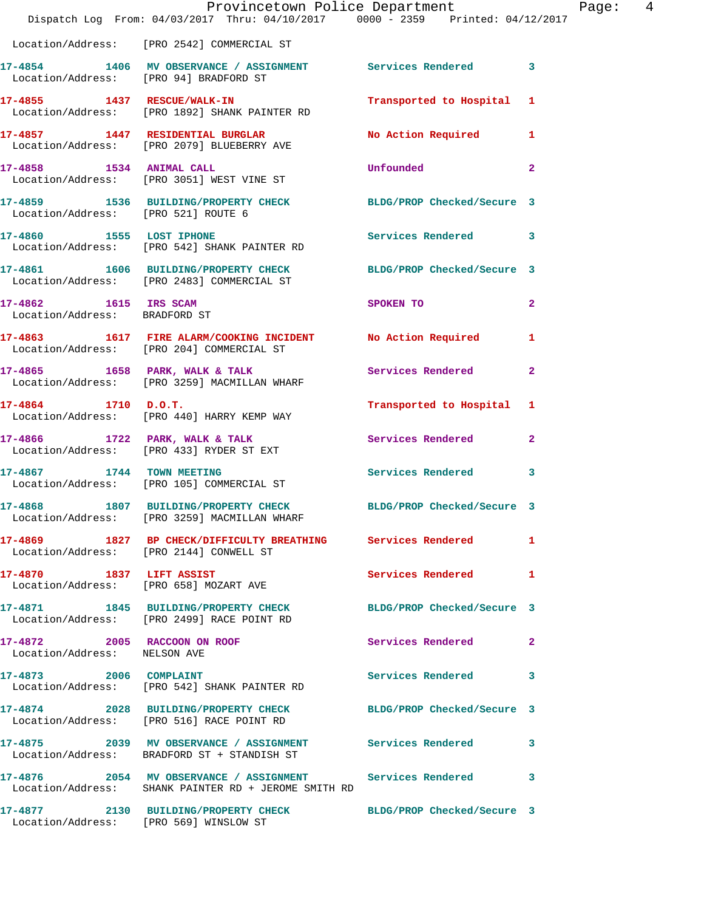|                                                        | Provincetown Police Department<br>Dispatch Log From: 04/03/2017 Thru: 04/10/2017 0000 - 2359 Printed: 04/12/2017  |                            | Page: 4      |
|--------------------------------------------------------|-------------------------------------------------------------------------------------------------------------------|----------------------------|--------------|
|                                                        | Location/Address: [PRO 2542] COMMERCIAL ST                                                                        |                            |              |
|                                                        | 17-4854 1406 MV OBSERVANCE / ASSIGNMENT Services Rendered 3<br>Location/Address: [PRO 94] BRADFORD ST             |                            |              |
|                                                        | 17-4855 1437 RESCUE/WALK-IN<br>Location/Address: [PRO 1892] SHANK PAINTER RD                                      | Transported to Hospital 1  |              |
|                                                        | 17-4857 1447 RESIDENTIAL BURGLAR<br>Location/Address: [PRO 2079] BLUEBERRY AVE                                    | No Action Required 1       |              |
|                                                        | 17-4858 1534 ANIMAL CALL<br>Location/Address: [PRO 3051] WEST VINE ST                                             | <b>Unfounded</b>           | $\mathbf{2}$ |
|                                                        | 17-4859 1536 BUILDING/PROPERTY CHECK BLDG/PROP Checked/Secure 3<br>Location/Address: [PRO 521] ROUTE 6            |                            |              |
|                                                        | 17-4860 1555 LOST IPHONE<br>Location/Address: [PRO 542] SHANK PAINTER RD                                          | Services Rendered 3        |              |
|                                                        | 17-4861 1606 BUILDING/PROPERTY CHECK<br>Location/Address: [PRO 2483] COMMERCIAL ST                                | BLDG/PROP Checked/Secure 3 |              |
| 17-4862 1615 IRS SCAM<br>Location/Address: BRADFORD ST |                                                                                                                   | SPOKEN TO                  | $\mathbf{2}$ |
|                                                        | 17-4863 1617 FIRE ALARM/COOKING INCIDENT No Action Required 1<br>Location/Address: [PRO 204] COMMERCIAL ST        |                            |              |
|                                                        | 17-4865 1658 PARK, WALK & TALK<br>Location/Address: [PRO 3259] MACMILLAN WHARF                                    | Services Rendered          | $\mathbf{2}$ |
| 17-4864 1710 D.O.T.                                    | Location/Address: [PRO 440] HARRY KEMP WAY                                                                        | Transported to Hospital 1  |              |
|                                                        | 17-4866 1722 PARK, WALK & TALK<br>Location/Address: [PRO 433] RYDER ST EXT                                        | Services Rendered          | $\mathbf{2}$ |
| 17-4867 1744 TOWN MEETING                              | Location/Address: [PRO 105] COMMERCIAL ST                                                                         | Services Rendered 3        |              |
| 17-4868                                                | 1807 BUILDING/PROPERTY CHECK<br>Location/Address: [PRO 3259] MACMILLAN WHARF                                      | BLDG/PROP Checked/Secure 3 |              |
|                                                        | 17-4869 1827 BP CHECK/DIFFICULTY BREATHING Services Rendered<br>Location/Address: [PRO 2144] CONWELL ST           |                            | 1            |
|                                                        | 17-4870 1837 LIFT ASSIST<br>Location/Address: [PRO 658] MOZART AVE                                                | Services Rendered          | 1            |
|                                                        | 17-4871 1845 BUILDING/PROPERTY CHECK BLDG/PROP Checked/Secure 3<br>Location/Address: [PRO 2499] RACE POINT RD     |                            |              |
| Location/Address: NELSON AVE                           | 17-4872 2005 RACCOON ON ROOF                                                                                      | Services Rendered          | $\mathbf{2}$ |
| 17-4873 2006 COMPLAINT                                 | Location/Address: [PRO 542] SHANK PAINTER RD                                                                      | Services Rendered 3        |              |
|                                                        | 17-4874 2028 BUILDING/PROPERTY CHECK<br>Location/Address: [PRO 516] RACE POINT RD                                 | BLDG/PROP Checked/Secure 3 |              |
|                                                        | 17-4875 2039 MV OBSERVANCE / ASSIGNMENT Services Rendered 3<br>Location/Address: BRADFORD ST + STANDISH ST        |                            |              |
|                                                        | 17-4876 2054 MV OBSERVANCE / ASSIGNMENT Services Rendered<br>Location/Address: SHANK PAINTER RD + JEROME SMITH RD |                            | 3            |
|                                                        | 17-4877 2130 BUILDING/PROPERTY CHECK<br>Location/Address: [PRO 569] WINSLOW ST                                    | BLDG/PROP Checked/Secure 3 |              |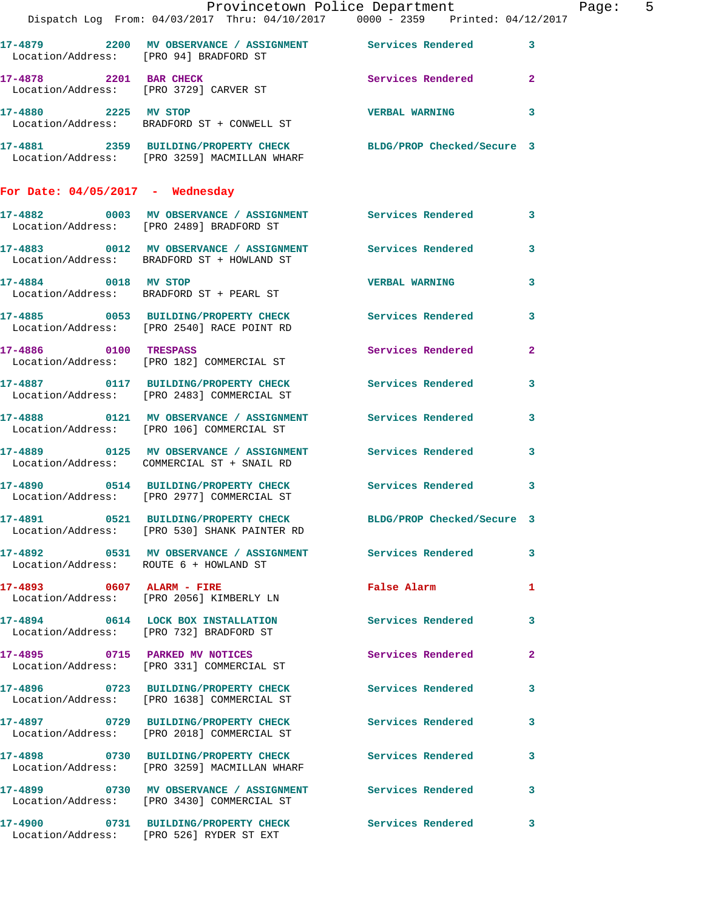|                                        | Dispatch Log From: 04/03/2017 Thru: 04/10/2017 0000 - 2359 Printed: 04/12/2017                                     | Provincetown Police Department |                | Page: 5 |  |
|----------------------------------------|--------------------------------------------------------------------------------------------------------------------|--------------------------------|----------------|---------|--|
|                                        | 17-4879 2200 MV OBSERVANCE / ASSIGNMENT Services Rendered 3<br>Location/Address: [PRO 94] BRADFORD ST              |                                |                |         |  |
|                                        | 17-4878 2201 BAR CHECK<br>Location/Address: [PRO 3729] CARVER ST                                                   | Services Rendered 2            |                |         |  |
|                                        | 17-4880 2225 MV STOP<br>Location/Address: BRADFORD ST + CONWELL ST                                                 | VERBAL WARNING 3               |                |         |  |
|                                        | 17-4881  2359  BUILDING/PROPERTY CHECK  BLDG/PROP Checked/Secure 3<br>Location/Address: [PRO 3259] MACMILLAN WHARF |                                |                |         |  |
| For Date: $04/05/2017$ - Wednesday     |                                                                                                                    |                                |                |         |  |
|                                        | 17-4882 6003 MV OBSERVANCE / ASSIGNMENT Services Rendered 3<br>Location/Address: [PRO 2489] BRADFORD ST            |                                |                |         |  |
|                                        | 17-4883 0012 MV OBSERVANCE / ASSIGNMENT Services Rendered 3<br>Location/Address: BRADFORD ST + HOWLAND ST          |                                |                |         |  |
|                                        | 17-4884 0018 MV STOP<br>Location/Address: BRADFORD ST + PEARL ST                                                   | <b>VERBAL WARNING</b>          | $\mathbf{3}$   |         |  |
|                                        | 17-4885 0053 BUILDING/PROPERTY CHECK Services Rendered 3<br>Location/Address: [PRO 2540] RACE POINT RD             |                                |                |         |  |
|                                        | 17-4886 0100 TRESPASS<br>Location/Address: [PRO 182] COMMERCIAL ST                                                 | Services Rendered              | $\overline{2}$ |         |  |
|                                        | 17-4887 0117 BUILDING/PROPERTY CHECK Services Rendered 3<br>Location/Address: [PRO 2483] COMMERCIAL ST             |                                |                |         |  |
|                                        | 17-4888 6121 MV OBSERVANCE / ASSIGNMENT Services Rendered<br>Location/Address: [PRO 106] COMMERCIAL ST             |                                | 3              |         |  |
|                                        | 17-4889 0125 MV OBSERVANCE / ASSIGNMENT Services Rendered 3<br>Location/Address: COMMERCIAL ST + SNAIL RD          |                                |                |         |  |
|                                        | 17-4890 0514 BUILDING/PROPERTY CHECK Services Rendered 3<br>Location/Address: [PRO 2977] COMMERCIAL ST             |                                |                |         |  |
|                                        | 17-4891 0521 BUILDING/PROPERTY CHECK BLDG/PROP Checked/Secure 3<br>Location/Address: [PRO 530] SHANK PAINTER RD    |                                |                |         |  |
| Location/Address: ROUTE 6 + HOWLAND ST | 17-4892 0531 MV OBSERVANCE / ASSIGNMENT Services Rendered 3                                                        |                                |                |         |  |
|                                        | 17-4893 0607 ALARM - FIRE<br>Location/Address: [PRO 2056] KIMBERLY LN                                              | False Alarm <b>Executes</b>    | $\mathbf{1}$   |         |  |
|                                        | 17-4894 0614 LOCK BOX INSTALLATION<br>Location/Address: [PRO 732] BRADFORD ST                                      | Services Rendered 3            |                |         |  |
|                                        | 17-4895 0715 PARKED MV NOTICES<br>Location/Address: [PRO 331] COMMERCIAL ST                                        | Services Rendered 2            |                |         |  |
|                                        | 17-4896 0723 BUILDING/PROPERTY CHECK Services Rendered 3<br>Location/Address: [PRO 1638] COMMERCIAL ST             |                                |                |         |  |
|                                        | 17-4897 0729 BUILDING/PROPERTY CHECK Services Rendered 3<br>Location/Address: [PRO 2018] COMMERCIAL ST             |                                |                |         |  |
|                                        | 17-4898 0730 BUILDING/PROPERTY CHECK Services Rendered<br>Location/Address: [PRO 3259] MACMILLAN WHARF             |                                | 3              |         |  |
|                                        | 17-4899 0730 MV OBSERVANCE / ASSIGNMENT Services Rendered 3<br>Location/Address: [PRO 3430] COMMERCIAL ST          |                                |                |         |  |
|                                        | 17-4900 0731 BUILDING/PROPERTY CHECK Services Rendered 3<br>Location/Address: [PRO 526] RYDER ST EXT               |                                |                |         |  |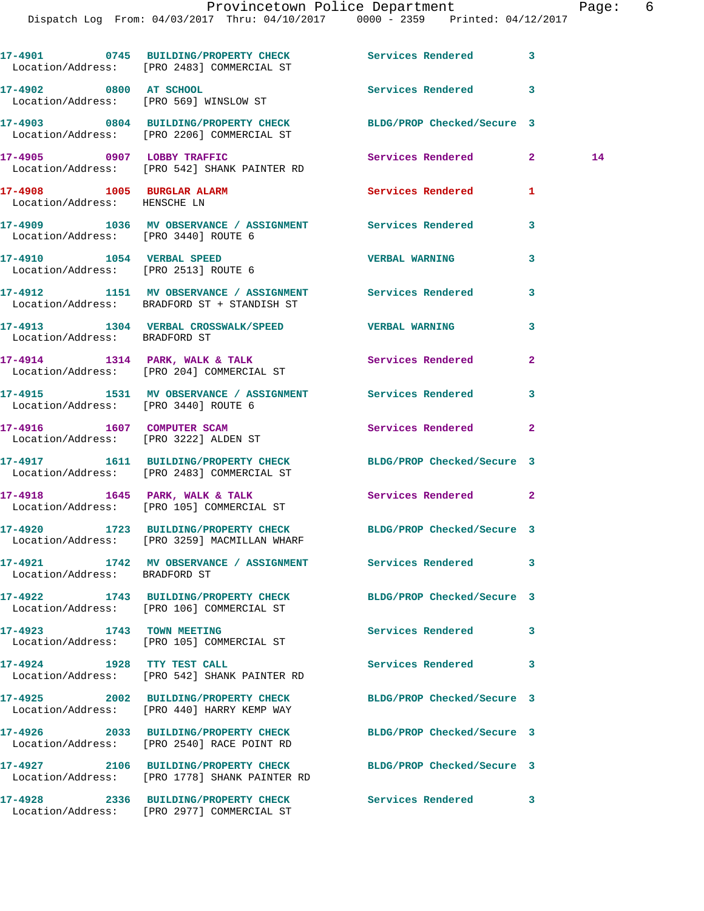## Provincetown Police Department Page: 6

|                                                                     | 17-4901 0745 BUILDING/PROPERTY CHECK Services Rendered 3<br>Location/Address: [PRO 2483] COMMERCIAL ST          |                            |              |    |
|---------------------------------------------------------------------|-----------------------------------------------------------------------------------------------------------------|----------------------------|--------------|----|
| 17-4902 0800 AT SCHOOL                                              | Location/Address: [PRO 569] WINSLOW ST                                                                          | Services Rendered 3        |              |    |
|                                                                     | 17-4903 0804 BUILDING/PROPERTY CHECK BLDG/PROP Checked/Secure 3<br>Location/Address: [PRO 2206] COMMERCIAL ST   |                            |              |    |
|                                                                     | 17-4905 0907 LOBBY TRAFFIC<br>Location/Address: [PRO 542] SHANK PAINTER RD                                      | Services Rendered 2        |              | 14 |
| 17-4908 1005 BURGLAR ALARM<br>Location/Address: HENSCHE LN          |                                                                                                                 | Services Rendered          | 1            |    |
| Location/Address: [PRO 3440] ROUTE 6                                | 17-4909 1036 MV OBSERVANCE / ASSIGNMENT Services Rendered 3                                                     |                            |              |    |
| 17-4910 1054 VERBAL SPEED<br>Location/Address: [PRO 2513] ROUTE 6   |                                                                                                                 | <b>VERBAL WARNING</b>      | 3            |    |
|                                                                     | 17-4912 1151 MV OBSERVANCE / ASSIGNMENT Services Rendered 3<br>Location/Address: BRADFORD ST + STANDISH ST      |                            |              |    |
| Location/Address: BRADFORD ST                                       | 17-4913 1304 VERBAL CROSSWALK/SPEED VERBAL WARNING                                                              |                            | 3            |    |
|                                                                     | 17-4914 1314 PARK, WALK & TALK<br>Location/Address: [PRO 204] COMMERCIAL ST                                     | Services Rendered          | $\mathbf{2}$ |    |
| Location/Address: [PRO 3440] ROUTE 6                                | 17-4915 1531 MV OBSERVANCE / ASSIGNMENT Services Rendered                                                       |                            | 3            |    |
| 17-4916 1607 COMPUTER SCAM<br>Location/Address: [PRO 3222] ALDEN ST |                                                                                                                 | <b>Services Rendered</b>   | $\mathbf{2}$ |    |
|                                                                     | 17-4917 1611 BUILDING/PROPERTY CHECK<br>Location/Address: [PRO 2483] COMMERCIAL ST                              | BLDG/PROP Checked/Secure 3 |              |    |
|                                                                     | $17-4918$ 1645 PARK, WALK & TALK<br>Location/Address: [PRO 105] COMMERCIAL ST                                   | Services Rendered          | $\mathbf{2}$ |    |
|                                                                     | 17-4920 1723 BUILDING/PROPERTY CHECK BLDG/PROP Checked/Secure 3<br>Location/Address: [PRO 3259] MACMILLAN WHARF |                            |              |    |
| Location/Address: BRADFORD ST                                       | 17-4921 1742 MV OBSERVANCE / ASSIGNMENT Services Rendered                                                       |                            | 3            |    |
|                                                                     | 17-4922 1743 BUILDING/PROPERTY CHECK<br>Location/Address: [PRO 106] COMMERCIAL ST                               | BLDG/PROP Checked/Secure 3 |              |    |
| 17-4923 1743 TOWN MEETING                                           | Location/Address: [PRO 105] COMMERCIAL ST                                                                       | Services Rendered          | 3            |    |
| 17-4924 1928 TTY TEST CALL                                          | Location/Address: [PRO 542] SHANK PAINTER RD                                                                    | <b>Services Rendered</b>   | 3            |    |
|                                                                     | 17-4925 2002 BUILDING/PROPERTY CHECK<br>Location/Address: [PRO 440] HARRY KEMP WAY                              | BLDG/PROP Checked/Secure 3 |              |    |
|                                                                     | 17-4926 2033 BUILDING/PROPERTY CHECK<br>Location/Address: [PRO 2540] RACE POINT RD                              | BLDG/PROP Checked/Secure 3 |              |    |
|                                                                     | 17-4927 2106 BUILDING/PROPERTY CHECK<br>Location/Address: [PRO 1778] SHANK PAINTER RD                           | BLDG/PROP Checked/Secure 3 |              |    |
|                                                                     | 17-4928 2336 BUILDING/PROPERTY CHECK<br>Location/Address: [PRO 2977] COMMERCIAL ST                              | <b>Services Rendered</b>   | 3            |    |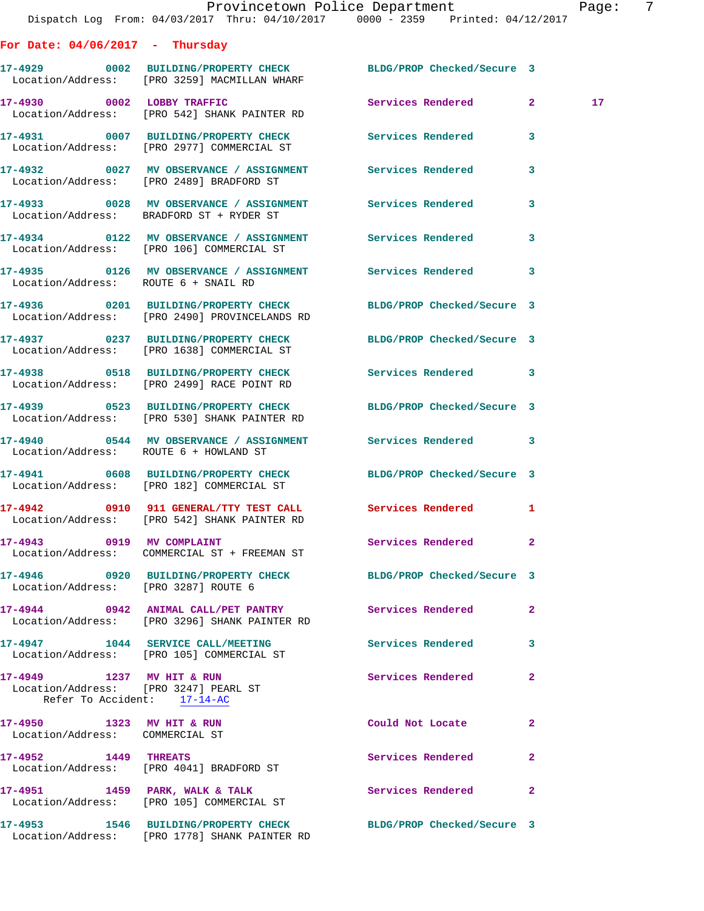|                                                                      | Dispatch Log From: 04/03/2017 Thru: 04/10/2017 0000 - 2359 Printed: 04/12/2017                                   | Provincetown Police Department |              | Page:           | 7 |
|----------------------------------------------------------------------|------------------------------------------------------------------------------------------------------------------|--------------------------------|--------------|-----------------|---|
| For Date: $04/06/2017$ - Thursday                                    |                                                                                                                  |                                |              |                 |   |
|                                                                      | 17-4929 0002 BUILDING/PROPERTY CHECK BLDG/PROP Checked/Secure 3<br>Location/Address: [PRO 3259] MACMILLAN WHARF  |                                |              |                 |   |
|                                                                      | 17-4930 0002 LOBBY TRAFFIC<br>Location/Address: [PRO 542] SHANK PAINTER RD                                       | Services Rendered 2            |              | 17 <sub>1</sub> |   |
|                                                                      | 17-4931 0007 BUILDING/PROPERTY CHECK Services Rendered 3<br>Location/Address: [PRO 2977] COMMERCIAL ST           |                                |              |                 |   |
|                                                                      | 17-4932 0027 MV OBSERVANCE / ASSIGNMENT Services Rendered<br>Location/Address: [PRO 2489] BRADFORD ST            |                                | 3            |                 |   |
|                                                                      | 17-4933 6028 MV OBSERVANCE / ASSIGNMENT Services Rendered<br>Location/Address: BRADFORD ST + RYDER ST            |                                | $\mathbf{3}$ |                 |   |
|                                                                      | 17-4934 0122 MV OBSERVANCE / ASSIGNMENT Services Rendered 3<br>Location/Address: [PRO 106] COMMERCIAL ST         |                                |              |                 |   |
| Location/Address: ROUTE 6 + SNAIL RD                                 | 17-4935 0126 MV OBSERVANCE / ASSIGNMENT Services Rendered 3                                                      |                                |              |                 |   |
|                                                                      | 17-4936 0201 BUILDING/PROPERTY CHECK BLDG/PROP Checked/Secure 3<br>Location/Address: [PRO 2490] PROVINCELANDS RD |                                |              |                 |   |
|                                                                      | 17-4937 0237 BUILDING/PROPERTY CHECK BLDG/PROP Checked/Secure 3<br>Location/Address: [PRO 1638] COMMERCIAL ST    |                                |              |                 |   |
|                                                                      | 17-4938 0518 BUILDING/PROPERTY CHECK Services Rendered 3<br>Location/Address: [PRO 2499] RACE POINT RD           |                                |              |                 |   |
|                                                                      | 17-4939       0523   BUILDING/PROPERTY CHECK<br>Location/Address:   [PRO 530] SHANK PAINTER RD                   | BLDG/PROP Checked/Secure 3     |              |                 |   |
| Location/Address: ROUTE 6 + HOWLAND ST                               | 17-4940 0544 MV OBSERVANCE / ASSIGNMENT Services Rendered 3                                                      |                                |              |                 |   |
|                                                                      | 17-4941 0608 BUILDING/PROPERTY CHECK BLDG/PROP Checked/Secure 3<br>Location/Address: [PRO 182] COMMERCIAL ST     |                                |              |                 |   |
|                                                                      | 17-4942 0910 911 GENERAL/TTY TEST CALL<br>Location/Address: [PRO 542] SHANK PAINTER RD                           | Services Rendered 1            |              |                 |   |
|                                                                      | 17-4943 0919 MV COMPLAINT<br>Location/Address: COMMERCIAL ST + FREEMAN ST                                        | Services Rendered 2            |              |                 |   |
| Location/Address: [PRO 3287] ROUTE 6                                 | 17-4946 0920 BUILDING/PROPERTY CHECK BLDG/PROP Checked/Secure 3                                                  |                                |              |                 |   |
|                                                                      | 17-4944 0942 ANIMAL CALL/PET PANTRY Services Rendered 2<br>Location/Address: [PRO 3296] SHANK PAINTER RD         |                                |              |                 |   |
|                                                                      | 17-4947 1044 SERVICE CALL/MEETING Services Rendered 3<br>Location/Address: [PRO 105] COMMERCIAL ST               |                                |              |                 |   |
| Location/Address: [PRO 3247] PEARL ST<br>Refer To Accident: 17-14-AC | 17-4949 1237 MV HIT & RUN                                                                                        | Services Rendered              | $\mathbf{2}$ |                 |   |
| 17-4950 1323 MV HIT & RUN<br>Location/Address: COMMERCIAL ST         |                                                                                                                  | Could Not Locate               | $\mathbf{2}$ |                 |   |
|                                                                      | 17-4952 1449 THREATS<br>Location/Address: [PRO 4041] BRADFORD ST                                                 | Services Rendered              | $\mathbf{2}$ |                 |   |
|                                                                      | 17-4951 1459 PARK, WALK & TALK<br>Location/Address: [PRO 105] COMMERCIAL ST                                      | Services Rendered              | $\mathbf{2}$ |                 |   |
|                                                                      | 17-4953 1546 BUILDING/PROPERTY CHECK BLDG/PROP Checked/Secure 3                                                  |                                |              |                 |   |

Location/Address: [PRO 1778] SHANK PAINTER RD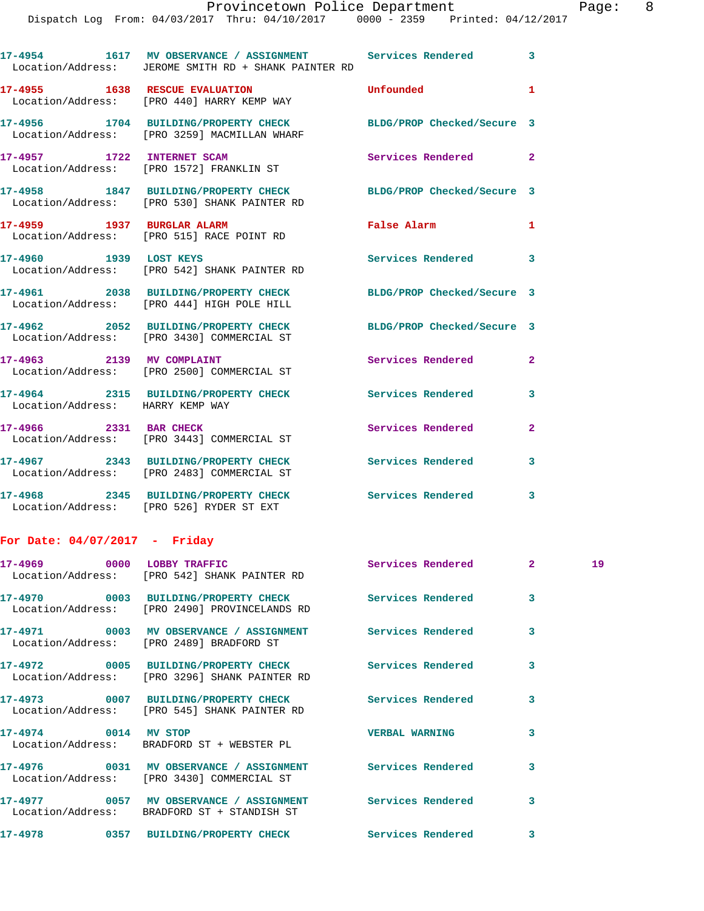|  | 17-4954 1617 MV OBSERVANCE / ASSIGNMENT Services Rendered<br>Location/Address: JEROME SMITH RD + SHANK PAINTER RD |                            | 3                       |
|--|-------------------------------------------------------------------------------------------------------------------|----------------------------|-------------------------|
|  | 17-4955 1638 RESCUE EVALUATION<br>Location/Address: [PRO 440] HARRY KEMP WAY                                      | Unfounded                  | 1                       |
|  | 17-4956 1704 BUILDING/PROPERTY CHECK<br>Location/Address: [PRO 3259] MACMILLAN WHARF                              | BLDG/PROP Checked/Secure 3 |                         |
|  | 17-4957 1722 INTERNET SCAM<br>Location/Address: [PRO 1572] FRANKLIN ST                                            | Services Rendered          | $\mathbf{2}$            |
|  | 17-4958 1847 BUILDING/PROPERTY CHECK<br>Location/Address: [PRO 530] SHANK PAINTER RD                              | BLDG/PROP Checked/Secure 3 |                         |
|  | 17-4959 1937 BURGLAR ALARM<br>Location/Address: [PRO 515] RACE POINT RD                                           | <b>False Alarm</b>         | 1                       |
|  | 17-4960 1939 LOST KEYS<br>Location/Address: [PRO 542] SHANK PAINTER RD                                            | Services Rendered          | 3                       |
|  | 17-4961 2038 BUILDING/PROPERTY CHECK<br>Location/Address: [PRO 444] HIGH POLE HILL                                | BLDG/PROP Checked/Secure 3 |                         |
|  | 17-4962 2052 BUILDING/PROPERTY CHECK<br>Location/Address: [PRO 3430] COMMERCIAL ST                                | BLDG/PROP Checked/Secure 3 |                         |
|  | 17-4963 2139 MV COMPLAINT<br>Location/Address: [PRO 2500] COMMERCIAL ST                                           | <b>Services Rendered</b>   | $\overline{\mathbf{2}}$ |
|  | 17-4964 2315 BUILDING/PROPERTY CHECK<br>Location/Address: HARRY KEMP WAY                                          | <b>Services Rendered</b>   | 3                       |
|  | 17-4966 2331 BAR CHECK<br>Location/Address: [PRO 3443] COMMERCIAL ST                                              | Services Rendered          | 2                       |
|  | 17-4967 2343 BUILDING/PROPERTY CHECK<br>Location/Address: [PRO 2483] COMMERCIAL ST                                | Services Rendered          | 3                       |
|  | 17-4968 2345 BUILDING/PROPERTY CHECK<br>Location/Address: [PRO 526] RYDER ST EXT                                  | <b>Services Rendered</b>   | 3                       |
|  |                                                                                                                   |                            |                         |

## **For Date: 04/07/2017 - Friday**

| Location/Address: [PRO 542] SHANK PAINTER RD                                                                                             |                         | 19 |
|------------------------------------------------------------------------------------------------------------------------------------------|-------------------------|----|
| 17-4970 0003 BUILDING/PROPERTY CHECK Services Rendered 3<br>Location/Address: [PRO 2490] PROVINCELANDS RD                                |                         |    |
| 17-4971                0003     MV OBSERVANCE / ASSIGNMENT                 Services Rendered<br>Location/Address: [PRO 2489] BRADFORD ST | $\overline{\mathbf{3}}$ |    |
| 17-4972 0005 BUILDING/PROPERTY CHECK Services Rendered<br>Location/Address: [PRO 3296] SHANK PAINTER RD                                  | $\overline{3}$          |    |
| Location/Address: [PRO 545] SHANK PAINTER RD                                                                                             | 3                       |    |
| Location/Address: BRADFORD ST + WEBSTER PL                                                                                               | $\overline{\mathbf{3}}$ |    |
| 17-4976  0031 MV OBSERVANCE / ASSIGNMENT Services Rendered<br>Location/Address: [PRO 3430] COMMERCIAL ST                                 | $\overline{3}$          |    |
| 17-4977 6057 MV OBSERVANCE / ASSIGNMENT Services Rendered<br>Location/Address: BRADFORD ST + STANDISH ST                                 | $\overline{\mathbf{3}}$ |    |
| 17-4978       0357  BUILDING/PROPERTY CHECK        Services Rendered                                                                     | $\overline{\mathbf{3}}$ |    |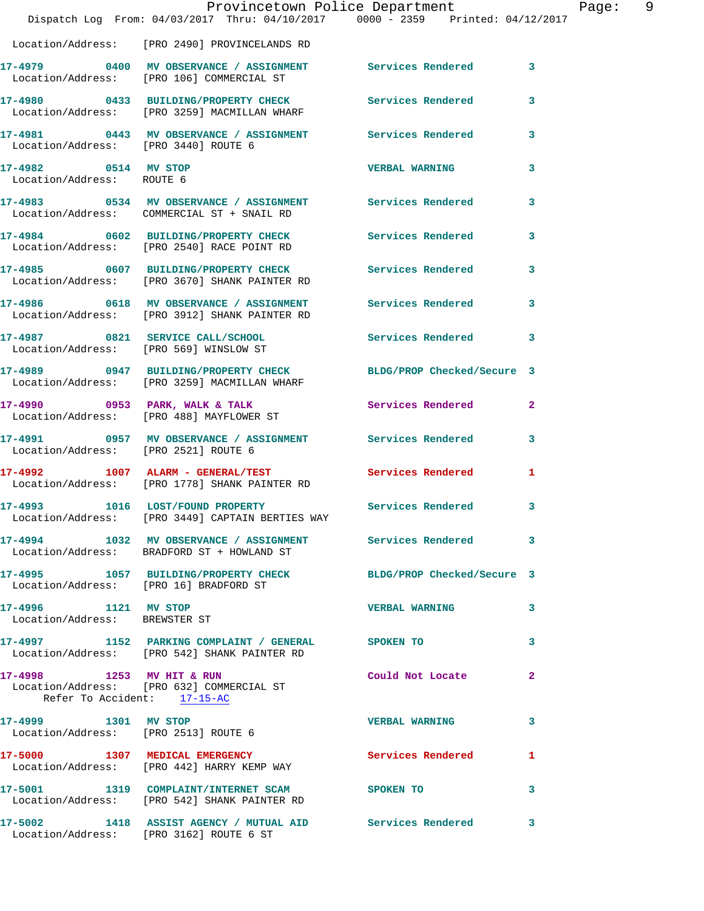|                                                          | Provincetown Police Department<br>Dispatch Log From: 04/03/2017 Thru: 04/10/2017 0000 - 2359 Printed: 04/12/2017 |                            |              |
|----------------------------------------------------------|------------------------------------------------------------------------------------------------------------------|----------------------------|--------------|
|                                                          | Location/Address: [PRO 2490] PROVINCELANDS RD                                                                    |                            |              |
|                                                          |                                                                                                                  |                            |              |
|                                                          | 17-4979 0400 MV OBSERVANCE / ASSIGNMENT Services Rendered<br>Location/Address: [PRO 106] COMMERCIAL ST           |                            | 3            |
|                                                          | 17-4980 0433 BUILDING/PROPERTY CHECK<br>Location/Address: [PRO 3259] MACMILLAN WHARF                             | Services Rendered          | 3            |
| Location/Address: [PRO 3440] ROUTE 6                     | 17-4981 0443 MV OBSERVANCE / ASSIGNMENT Services Rendered                                                        |                            | 3            |
| 17-4982 0514 MV STOP<br>Location/Address: ROUTE 6        |                                                                                                                  | <b>VERBAL WARNING</b>      | 3            |
|                                                          | 17-4983 0534 MV OBSERVANCE / ASSIGNMENT Services Rendered<br>Location/Address: COMMERCIAL ST + SNAIL RD          |                            | 3            |
|                                                          | 17-4984 0602 BUILDING/PROPERTY CHECK<br>Location/Address: [PRO 2540] RACE POINT RD                               | Services Rendered          | 3            |
|                                                          | 17-4985 0607 BUILDING/PROPERTY CHECK<br>Location/Address: [PRO 3670] SHANK PAINTER RD                            | Services Rendered          | 3            |
|                                                          | 17-4986 0618 MV OBSERVANCE / ASSIGNMENT<br>Location/Address: [PRO 3912] SHANK PAINTER RD                         | Services Rendered          | 3            |
|                                                          | 17-4987 0821 SERVICE CALL/SCHOOL<br>Location/Address: [PRO 569] WINSLOW ST                                       | Services Rendered          | 3            |
|                                                          | 17-4989 0947 BUILDING/PROPERTY CHECK<br>Location/Address: [PRO 3259] MACMILLAN WHARF                             | BLDG/PROP Checked/Secure 3 |              |
|                                                          | 17-4990 0953 PARK, WALK & TALK<br>Location/Address: [PRO 488] MAYFLOWER ST                                       | Services Rendered          | $\mathbf{2}$ |
| Location/Address: [PRO 2521] ROUTE 6                     | 17-4991 0957 MV OBSERVANCE / ASSIGNMENT Services Rendered                                                        |                            | 3            |
|                                                          | 17-4992 1007 ALARM - GENERAL/TEST<br>Location/Address: [PRO 1778] SHANK PAINTER RD                               | Services Rendered          | 1            |
|                                                          | 17-4993 1016 LOST/FOUND PROPERTY<br>Location/Address: [PRO 3449] CAPTAIN BERTIES WAY                             | Services Rendered          | 3            |
|                                                          | 17-4994 1032 MV OBSERVANCE / ASSIGNMENT Services Rendered<br>Location/Address: BRADFORD ST + HOWLAND ST          |                            | 3            |
|                                                          | 17-4995 1057 BUILDING/PROPERTY CHECK BLDG/PROP Checked/Secure 3<br>Location/Address: [PRO 16] BRADFORD ST        |                            |              |
| 17-4996 1121 MV STOP<br>Location/Address: BREWSTER ST    |                                                                                                                  | <b>VERBAL WARNING</b>      | 3            |
|                                                          | 17-4997 1152 PARKING COMPLAINT / GENERAL SPOKEN TO<br>Location/Address: [PRO 542] SHANK PAINTER RD               |                            | 3            |
| 17-4998 1253 MV HIT & RUN<br>Refer To Accident: 17-15-AC | Location/Address: [PRO 632] COMMERCIAL ST                                                                        | Could Not Locate           | 2            |
| 17-4999 1301 MV STOP                                     | Location/Address: [PRO 2513] ROUTE 6                                                                             | <b>VERBAL WARNING</b>      | 3            |
|                                                          | 17-5000 1307 MEDICAL EMERGENCY<br>Location/Address: [PRO 442] HARRY KEMP WAY                                     | <b>Services Rendered</b>   | 1            |
|                                                          | 17-5001 1319 COMPLAINT/INTERNET SCAM<br>Location/Address: [PRO 542] SHANK PAINTER RD                             | SPOKEN TO                  | 3            |
|                                                          | 17-5002 1418 ASSIST AGENCY / MUTUAL AID Services Rendered<br>Location/Address: [PRO 3162] ROUTE 6 ST             |                            | 3            |

Page: 9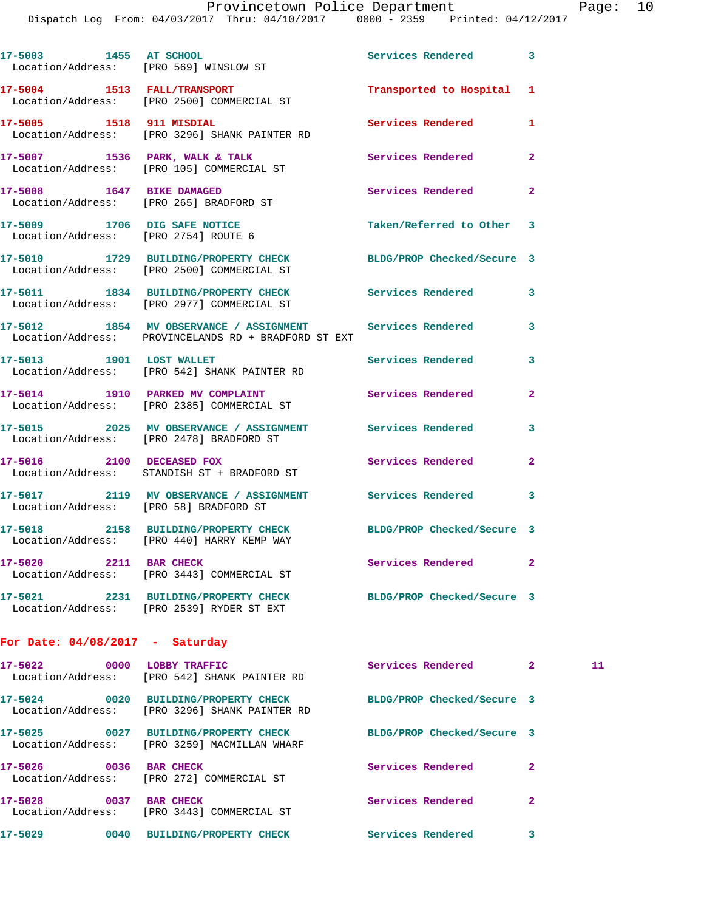Dispatch Log From: 04/03/2017 Thru: 04/10/2017 0000 - 2359 Printed: 04/12/2017

|                                                                      | 17-5003 1455 AT SCHOOL<br>Location/Address: [PRO 569] WINSLOW ST                                                  | Services Rendered 3        |                |    |
|----------------------------------------------------------------------|-------------------------------------------------------------------------------------------------------------------|----------------------------|----------------|----|
|                                                                      | 17-5004 1513 FALL/TRANSPORT<br>Location/Address: [PRO 2500] COMMERCIAL ST                                         | Transported to Hospital 1  |                |    |
|                                                                      | 17-5005 1518 911 MISDIAL<br>Location/Address: [PRO 3296] SHANK PAINTER RD                                         | Services Rendered          | 1              |    |
|                                                                      | 17-5007 1536 PARK, WALK & TALK<br>Location/Address: [PRO 105] COMMERCIAL ST                                       | <b>Services Rendered</b>   | $\mathbf{2}$   |    |
| 17-5008 1647 BIKE DAMAGED                                            | Location/Address: [PRO 265] BRADFORD ST                                                                           | Services Rendered          | $\overline{a}$ |    |
| 17-5009 1706 DIG SAFE NOTICE<br>Location/Address: [PRO 2754] ROUTE 6 |                                                                                                                   | Taken/Referred to Other 3  |                |    |
|                                                                      | 17-5010 1729 BUILDING/PROPERTY CHECK<br>Location/Address: [PRO 2500] COMMERCIAL ST                                | BLDG/PROP Checked/Secure 3 |                |    |
|                                                                      | 17-5011 1834 BUILDING/PROPERTY CHECK Services Rendered<br>Location/Address: [PRO 2977] COMMERCIAL ST              |                            | 3              |    |
|                                                                      | 17-5012 1854 MV OBSERVANCE / ASSIGNMENT Services Rendered<br>Location/Address: PROVINCELANDS RD + BRADFORD ST EXT |                            | 3              |    |
|                                                                      | 17-5013 1901 LOST WALLET<br>Location/Address: [PRO 542] SHANK PAINTER RD                                          | <b>Services Rendered</b>   | 3              |    |
|                                                                      | 17-5014 1910 PARKED MV COMPLAINT<br>Location/Address: [PRO 2385] COMMERCIAL ST                                    | Services Rendered          | $\mathbf{2}$   |    |
|                                                                      | 17-5015 2025 MV OBSERVANCE / ASSIGNMENT Services Rendered<br>Location/Address: [PRO 2478] BRADFORD ST             |                            | 3              |    |
| 17-5016 2100 DECEASED FOX                                            | Location/Address: STANDISH ST + BRADFORD ST                                                                       | Services Rendered          | $\mathbf{2}$   |    |
| Location/Address: [PRO 58] BRADFORD ST                               | 17-5017 2119 MV OBSERVANCE / ASSIGNMENT Services Rendered                                                         |                            | 3              |    |
|                                                                      | 17-5018 2158 BUILDING/PROPERTY CHECK BLDG/PROP Checked/Secure 3<br>Location/Address: [PRO 440] HARRY KEMP WAY     |                            |                |    |
| 17-5020 2211 BAR CHECK                                               | Location/Address: [PRO 3443] COMMERCIAL ST                                                                        | <b>Services Rendered</b>   | $\mathbf{2}$   |    |
|                                                                      | 17-5021 2231 BUILDING/PROPERTY CHECK<br>Location/Address: [PRO 2539] RYDER ST EXT                                 | BLDG/PROP Checked/Secure 3 |                |    |
| For Date: $04/08/2017$ - Saturday                                    |                                                                                                                   |                            |                |    |
| 17-5022 0000 LOBBY TRAFFIC                                           | Location/Address: [PRO 542] SHANK PAINTER RD                                                                      | Services Rendered 2        |                | 11 |
|                                                                      | 17-5024 0020 BUILDING/PROPERTY CHECK<br>Location/Address: [PRO 3296] SHANK PAINTER RD                             | BLDG/PROP Checked/Secure 3 |                |    |
|                                                                      | 17-5025 0027 BUILDING/PROPERTY CHECK<br>Location/Address: [PRO 3259] MACMILLAN WHARF                              | BLDG/PROP Checked/Secure 3 |                |    |
| 17-5026 0036 BAR CHECK                                               | Location/Address: [PRO 272] COMMERCIAL ST                                                                         | Services Rendered          | $\mathbf{2}$   |    |
| 17-5028 0037 BAR CHECK                                               |                                                                                                                   | Services Rendered          | 2              |    |

**17-5029 0040 BUILDING/PROPERTY CHECK Services Rendered 3** 

Location/Address: [PRO 3443] COMMERCIAL ST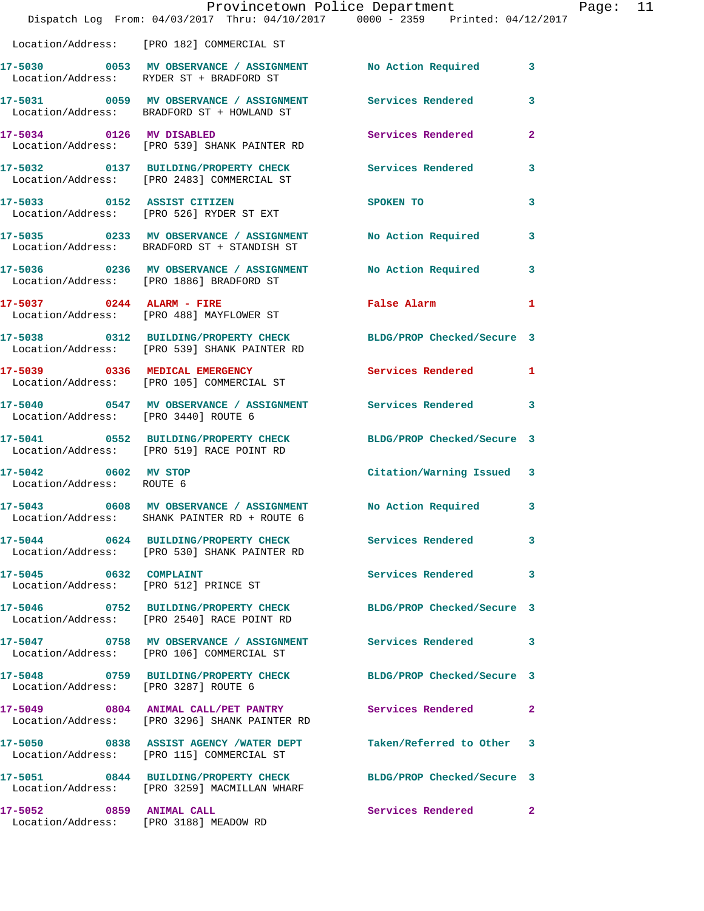|                                                                    | Provincetown Police Department<br>Dispatch Log From: 04/03/2017 Thru: 04/10/2017 0000 - 2359 Printed: 04/12/2017 |                            |                |
|--------------------------------------------------------------------|------------------------------------------------------------------------------------------------------------------|----------------------------|----------------|
|                                                                    | Location/Address: [PRO 182] COMMERCIAL ST                                                                        |                            |                |
|                                                                    | 17-5030 0053 MV OBSERVANCE / ASSIGNMENT No Action Required<br>Location/Address: RYDER ST + BRADFORD ST           |                            | 3              |
|                                                                    | 17-5031 0059 MV OBSERVANCE / ASSIGNMENT Services Rendered<br>Location/Address: BRADFORD ST + HOWLAND ST          |                            | 3              |
|                                                                    | 17-5034 0126 MV DISABLED<br>Location/Address: [PRO 539] SHANK PAINTER RD                                         | Services Rendered          | $\overline{a}$ |
|                                                                    | 17-5032 0137 BUILDING/PROPERTY CHECK Services Rendered<br>Location/Address: [PRO 2483] COMMERCIAL ST             |                            | 3              |
|                                                                    | 17-5033 0152 ASSIST CITIZEN<br>Location/Address: [PRO 526] RYDER ST EXT                                          | SPOKEN TO                  | 3              |
|                                                                    | 17-5035 0233 MV OBSERVANCE / ASSIGNMENT<br>Location/Address: BRADFORD ST + STANDISH ST                           | No Action Required         | 3              |
|                                                                    |                                                                                                                  | No Action Required         | 3              |
| $17-5037$ 0244 ALARM - FIRE                                        | Location/Address: [PRO 488] MAYFLOWER ST                                                                         | False Alarm                | 1              |
|                                                                    | 17-5038 0312 BUILDING/PROPERTY CHECK<br>Location/Address: [PRO 539] SHANK PAINTER RD                             | BLDG/PROP Checked/Secure 3 |                |
|                                                                    | 17-5039 0336 MEDICAL EMERGENCY<br>Location/Address: [PRO 105] COMMERCIAL ST                                      | Services Rendered          | 1              |
| Location/Address: [PRO 3440] ROUTE 6                               | 17-5040 0547 MV OBSERVANCE / ASSIGNMENT Services Rendered                                                        |                            | 3              |
|                                                                    | 17-5041 0552 BUILDING/PROPERTY CHECK<br>Location/Address: [PRO 519] RACE POINT RD                                | BLDG/PROP Checked/Secure 3 |                |
| 17-5042 0602 MV STOP<br>Location/Address: ROUTE 6                  |                                                                                                                  | Citation/Warning Issued 3  |                |
|                                                                    | Location/Address: SHANK PAINTER RD + ROUTE 6                                                                     |                            | 3              |
|                                                                    | 17-5044 0624 BUILDING/PROPERTY CHECK<br>Location/Address: [PRO 530] SHANK PAINTER RD                             | Services Rendered          | 3              |
| 17-5045 0632 COMPLAINT                                             | Location/Address: [PRO 512] PRINCE ST                                                                            | Services Rendered          | 3              |
|                                                                    | 17-5046 0752 BUILDING/PROPERTY CHECK<br>Location/Address: [PRO 2540] RACE POINT RD                               | BLDG/PROP Checked/Secure 3 |                |
|                                                                    | 17-5047 6758 MV OBSERVANCE / ASSIGNMENT Services Rendered<br>Location/Address: [PRO 106] COMMERCIAL ST           |                            | 3              |
| Location/Address: [PRO 3287] ROUTE 6                               | 17-5048 0759 BUILDING/PROPERTY CHECK                                                                             | BLDG/PROP Checked/Secure 3 |                |
|                                                                    | 17-5049 0804 ANIMAL CALL/PET PANTRY<br>Location/Address: [PRO 3296] SHANK PAINTER RD                             | Services Rendered          | $\mathbf{2}$   |
|                                                                    | 17-5050 0838 ASSIST AGENCY /WATER DEPT<br>Location/Address: [PRO 115] COMMERCIAL ST                              | Taken/Referred to Other    | 3              |
|                                                                    | 17-5051 0844 BUILDING/PROPERTY CHECK<br>Location/Address: [PRO 3259] MACMILLAN WHARF                             | BLDG/PROP Checked/Secure 3 |                |
| 17-5052 0859 ANIMAL CALL<br>Location/Address: [PRO 3188] MEADOW RD |                                                                                                                  | Services Rendered          | $\mathbf{2}$   |

Page: 11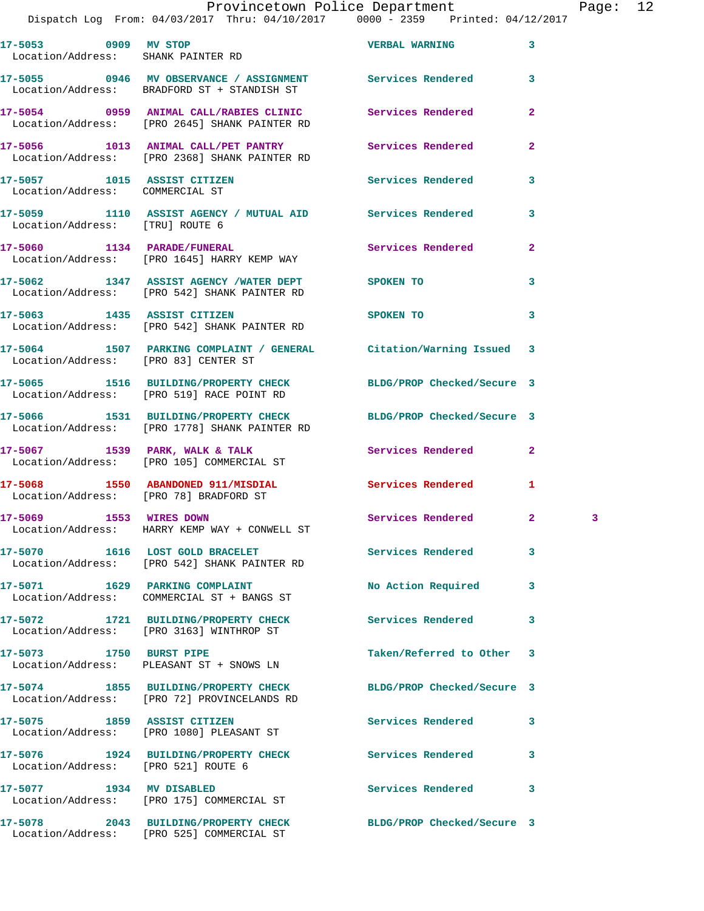## Provincetown Police Department Page: 12

| 17-5053 0909 MV STOP                                           | Location/Address: SHANK PAINTER RD                                                                                     | <b>VERBAL WARNING</b>      | 3              |   |
|----------------------------------------------------------------|------------------------------------------------------------------------------------------------------------------------|----------------------------|----------------|---|
|                                                                | 17-5055 0946 MV OBSERVANCE / ASSIGNMENT Services Rendered<br>Location/Address: BRADFORD ST + STANDISH ST               |                            | 3              |   |
|                                                                | 17-5054      0959 ANIMAL CALL/RABIES CLINIC       Services Rendered<br>Location/Address:   [PRO 2645] SHANK PAINTER RD |                            | $\overline{a}$ |   |
|                                                                | 17-5056 1013 ANIMAL CALL/PET PANTRY Services Rendered<br>Location/Address: [PRO 2368] SHANK PAINTER RD                 |                            | $\overline{2}$ |   |
| 17-5057 1015 ASSIST CITIZEN<br>Location/Address: COMMERCIAL ST |                                                                                                                        | Services Rendered          | 3              |   |
| Location/Address: [TRU] ROUTE 6                                | 17-5059 1110 ASSIST AGENCY / MUTUAL AID Services Rendered                                                              |                            | 3              |   |
|                                                                | 17-5060 1134 PARADE/FUNERAL<br>Location/Address: [PRO 1645] HARRY KEMP WAY                                             | Services Rendered          | $\overline{2}$ |   |
|                                                                | 17-5062 1347 ASSIST AGENCY /WATER DEPT SPOKEN TO<br>Location/Address: [PRO 542] SHANK PAINTER RD                       |                            | 3              |   |
|                                                                | 17-5063 1435 ASSIST CITIZEN<br>Location/Address: [PRO 542] SHANK PAINTER RD                                            | SPOKEN TO                  | 3              |   |
| Location/Address: [PRO 83] CENTER ST                           | 17-5064 1507 PARKING COMPLAINT / GENERAL Citation/Warning Issued 3                                                     |                            |                |   |
|                                                                | 17-5065 1516 BUILDING/PROPERTY CHECK BLDG/PROP Checked/Secure 3<br>Location/Address: [PRO 519] RACE POINT RD           |                            |                |   |
|                                                                | 17-5066 1531 BUILDING/PROPERTY CHECK BLDG/PROP Checked/Secure 3<br>Location/Address: [PRO 1778] SHANK PAINTER RD       |                            |                |   |
|                                                                | $17-5067$ 1539 PARK, WALK & TALK<br>Location/Address: [PRO 105] COMMERCIAL ST                                          | Services Rendered          | $\mathbf{2}$   |   |
|                                                                | 17-5068 1550 ABANDONED 911/MISDIAL Services Rendered<br>Location/Address: [PRO 78] BRADFORD ST                         |                            | $\mathbf{1}$   |   |
|                                                                | 17-5069 1553 WIRES DOWN<br>Location/Address:    HARRY KEMP WAY + CONWELL ST                                            | Services Rendered          | $\mathbf{2}$   | 3 |
|                                                                | 17-5070 1616 LOST GOLD BRACELET<br>Location/Address: [PRO 542] SHANK PAINTER RD                                        | Services Rendered          | 3              |   |
|                                                                | 17-5071 1629 PARKING COMPLAINT<br>Location/Address: COMMERCIAL ST + BANGS ST                                           | No Action Required         | 3              |   |
|                                                                | 17-5072 1721 BUILDING/PROPERTY CHECK<br>Location/Address: [PRO 3163] WINTHROP ST                                       | Services Rendered          | 3              |   |
| 17-5073 1750 BURST PIPE                                        | Location/Address: PLEASANT ST + SNOWS LN                                                                               | Taken/Referred to Other    | 3              |   |
|                                                                | 17-5074 1855 BUILDING/PROPERTY CHECK<br>Location/Address: [PRO 72] PROVINCELANDS RD                                    | BLDG/PROP Checked/Secure 3 |                |   |
| 17-5075 1859 ASSIST CITIZEN                                    | Location/Address: [PRO 1080] PLEASANT ST                                                                               | Services Rendered          | 3              |   |
| Location/Address: [PRO 521] ROUTE 6                            | 17-5076 1924 BUILDING/PROPERTY CHECK Services Rendered                                                                 |                            | 3              |   |
| 17-5077 1934 MV DISABLED                                       | Location/Address: [PRO 175] COMMERCIAL ST                                                                              | Services Rendered          | 3              |   |
|                                                                | 17-5078 2043 BUILDING/PROPERTY CHECK<br>Location/Address: [PRO 525] COMMERCIAL ST                                      | BLDG/PROP Checked/Secure 3 |                |   |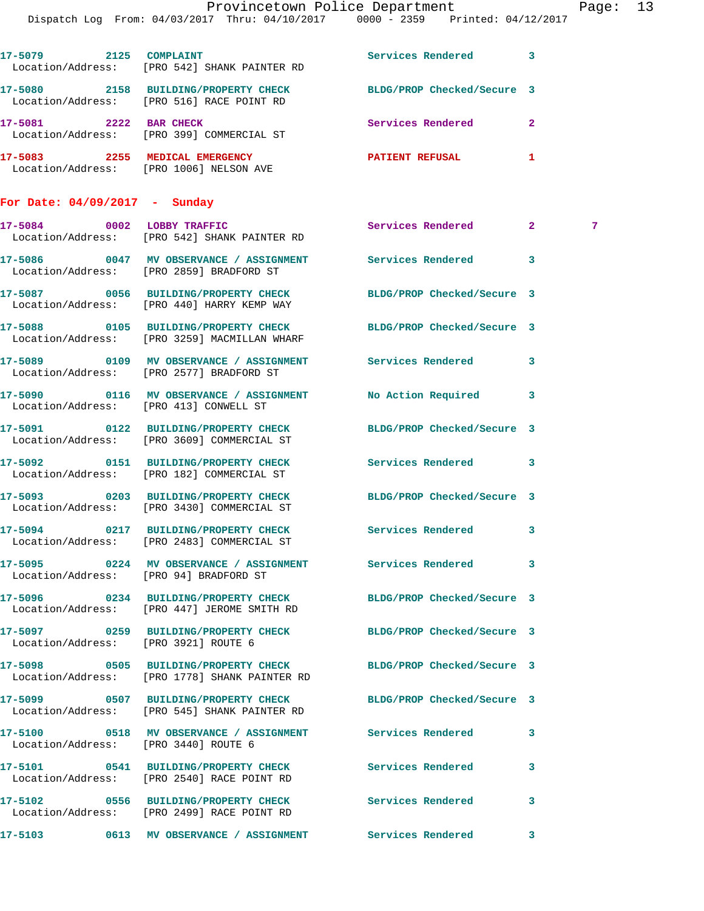| Provincetown Police Department |                                   |  |  | Page: 13                        |  |  |
|--------------------------------|-----------------------------------|--|--|---------------------------------|--|--|
|                                | From: 04/03/2017 Thru: 04/10/2017 |  |  | 0000 - 2359 Printed: 04/12/2017 |  |  |

Dispatch Log

|                                      | 17-5079 2125 COMPLAINT<br>Location/Address: [PRO 542] SHANK PAINTER RD                                                  | Services Rendered          | 3            |   |
|--------------------------------------|-------------------------------------------------------------------------------------------------------------------------|----------------------------|--------------|---|
|                                      | 17-5080 2158 BUILDING/PROPERTY CHECK BLDG/PROP Checked/Secure 3<br>Location/Address: [PRO 516] RACE POINT RD            |                            |              |   |
|                                      | 17-5081 2222 BAR CHECK<br>Location/Address: [PRO 399] COMMERCIAL ST                                                     | <b>Services Rendered</b>   | $\mathbf{2}$ |   |
|                                      | 17-5083 2255 MEDICAL EMERGENCY<br>Location/Address: [PRO 1006] NELSON AVE                                               | PATIENT REFUSAL            | 1            |   |
| For Date: $04/09/2017 -$ Sunday      |                                                                                                                         |                            |              |   |
|                                      | 17-5084 0002 LOBBY TRAFFIC<br>Location/Address: [PRO 542] SHANK PAINTER RD                                              | Services Rendered          | $\mathbf{2}$ | 7 |
|                                      | 17-5086 60047 MV OBSERVANCE / ASSIGNMENT Services Rendered<br>Location/Address: [PRO 2859] BRADFORD ST                  |                            | 3            |   |
|                                      | 17-5087 0056 BUILDING/PROPERTY CHECK<br>Location/Address: [PRO 440] HARRY KEMP WAY                                      | BLDG/PROP Checked/Secure 3 |              |   |
|                                      | 17-5088 			 0105 BUILDING/PROPERTY CHECK 				BLDG/PROP Checked/Secure 3<br>Location/Address: [PRO 3259] MACMILLAN WHARF |                            |              |   |
|                                      | 17-5089 0109 MV OBSERVANCE / ASSIGNMENT Services Rendered<br>Location/Address: [PRO 2577] BRADFORD ST                   |                            | 3            |   |
|                                      | 17-5090 0116 MV OBSERVANCE / ASSIGNMENT No Action Required<br>Location/Address: [PRO 413] CONWELL ST                    |                            | 3            |   |
|                                      | 17-5091 0122 BUILDING/PROPERTY CHECK<br>Location/Address: [PRO 3609] COMMERCIAL ST                                      | BLDG/PROP Checked/Secure 3 |              |   |
|                                      | 17-5092 0151 BUILDING/PROPERTY CHECK<br>Location/Address: [PRO 182] COMMERCIAL ST                                       | Services Rendered          | 3            |   |
|                                      | 17-5093 0203 BUILDING/PROPERTY CHECK<br>Location/Address: [PRO 3430] COMMERCIAL ST                                      | BLDG/PROP Checked/Secure 3 |              |   |
|                                      | 17-5094 0217 BUILDING/PROPERTY CHECK Services Rendered<br>Location/Address: [PRO 2483] COMMERCIAL ST                    |                            | 3            |   |
|                                      | 17-5095 0224 MV OBSERVANCE / ASSIGNMENT Services Rendered<br>Location/Address: [PRO 94] BRADFORD ST                     |                            | 3            |   |
|                                      | 17-5096 0234 BUILDING/PROPERTY CHECK<br>Location/Address: [PRO 447] JEROME SMITH RD                                     | BLDG/PROP Checked/Secure 3 |              |   |
| Location/Address: [PRO 3921] ROUTE 6 | 17-5097 0259 BUILDING/PROPERTY CHECK BLDG/PROP Checked/Secure 3                                                         |                            |              |   |
|                                      | 17-5098 0505 BUILDING/PROPERTY CHECK<br>Location/Address: [PRO 1778] SHANK PAINTER RD                                   | BLDG/PROP Checked/Secure 3 |              |   |
|                                      | 17-5099 0507 BUILDING/PROPERTY CHECK BLDG/PROP Checked/Secure 3<br>Location/Address: [PRO 545] SHANK PAINTER RD         |                            |              |   |
| Location/Address: [PRO 3440] ROUTE 6 | 17-5100 0518 MV OBSERVANCE / ASSIGNMENT Services Rendered                                                               |                            | 3            |   |
|                                      | 17-5101 0541 BUILDING/PROPERTY CHECK<br>Location/Address: [PRO 2540] RACE POINT RD                                      | Services Rendered          | 3            |   |
|                                      | 17-5102 0556 BUILDING/PROPERTY CHECK Services Rendered<br>Location/Address: [PRO 2499] RACE POINT RD                    |                            | 3            |   |
|                                      |                                                                                                                         |                            |              |   |

**17-5103 0613 MV OBSERVANCE / ASSIGNMENT Services Rendered 3**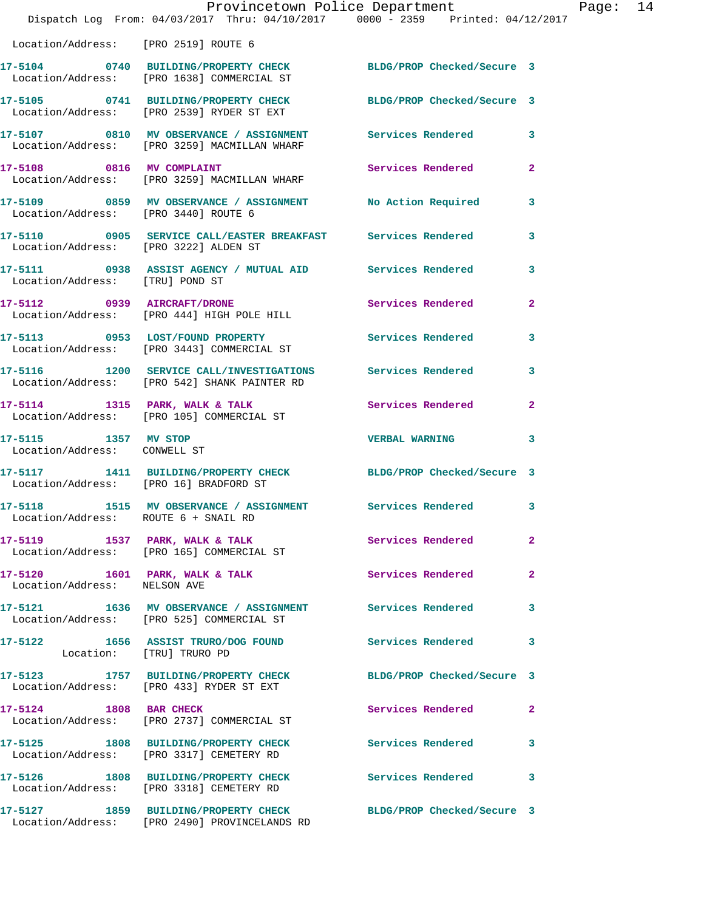|                                                      | Dispatch Log From: 04/03/2017 Thru: 04/10/2017 0000 - 2359 Printed: 04/12/2017                                    | Provincetown Police Department |                | Page: 14 |  |
|------------------------------------------------------|-------------------------------------------------------------------------------------------------------------------|--------------------------------|----------------|----------|--|
| Location/Address: [PRO 2519] ROUTE 6                 |                                                                                                                   |                                |                |          |  |
|                                                      | 17-5104 0740 BUILDING/PROPERTY CHECK BLDG/PROP Checked/Secure 3<br>Location/Address: [PRO 1638] COMMERCIAL ST     |                                |                |          |  |
|                                                      | 17-5105 0741 BUILDING/PROPERTY CHECK BLDG/PROP Checked/Secure 3<br>Location/Address: [PRO 2539] RYDER ST EXT      |                                |                |          |  |
|                                                      | 17-5107 0810 MV OBSERVANCE / ASSIGNMENT Services Rendered 3<br>Location/Address: [PRO 3259] MACMILLAN WHARF       |                                |                |          |  |
|                                                      | 17-5108 0816 MV COMPLAINT<br>Location/Address: [PRO 3259] MACMILLAN WHARF                                         | <b>Services Rendered</b>       | $\mathbf{2}$   |          |  |
| Location/Address: [PRO 3440] ROUTE 6                 | 17-5109 0859 MV OBSERVANCE / ASSIGNMENT No Action Required                                                        |                                | $\mathbf{3}$   |          |  |
|                                                      | 17-5110      0905   SERVICE CALL/EASTER BREAKFAST     Services Rendered<br>Location/Address:   [PRO 3222]ALDEN ST |                                | 3              |          |  |
| Location/Address: [TRU] POND ST                      | 17-5111 0938 ASSIST AGENCY / MUTUAL AID Services Rendered                                                         |                                | 3              |          |  |
|                                                      | 17-5112 0939 AIRCRAFT/DRONE<br>Location/Address: [PRO 444] HIGH POLE HILL                                         | Services Rendered              | $\overline{2}$ |          |  |
|                                                      | 17-5113 0953 LOST/FOUND PROPERTY<br>Location/Address: [PRO 3443] COMMERCIAL ST                                    | Services Rendered              | 3              |          |  |
|                                                      | 17-5116 1200 SERVICE CALL/INVESTIGATIONS Services Rendered 3<br>Location/Address: [PRO 542] SHANK PAINTER RD      |                                |                |          |  |
|                                                      | 17-5114 1315 PARK, WALK & TALK 1997 Services Rendered<br>Location/Address: [PRO 105] COMMERCIAL ST                |                                | $\mathbf{2}$   |          |  |
| 17-5115 1357 MV STOP<br>Location/Address: CONWELL ST |                                                                                                                   | VERBAL WARNING 3               |                |          |  |
| Location/Address: [PRO 16] BRADFORD ST               | 17-5117 1411 BUILDING/PROPERTY CHECK BLDG/PROP Checked/Secure 3                                                   |                                |                |          |  |
| 17-5118<br>Location/Address: ROUTE 6 + SNAIL RD      | 1515 MV OBSERVANCE / ASSIGNMENT Services Rendered 3                                                               |                                |                |          |  |
|                                                      | 17-5119 1537 PARK, WALK & TALK 1998 Services Rendered<br>Location/Address: [PRO 165] COMMERCIAL ST                |                                | $\mathbf{2}$   |          |  |
| Location/Address: NELSON AVE                         | 17-5120 1601 PARK, WALK & TALK Services Rendered                                                                  |                                | $\mathbf{2}$   |          |  |
|                                                      | 17-5121 1636 MV OBSERVANCE / ASSIGNMENT Services Rendered<br>Location/Address: [PRO 525] COMMERCIAL ST            |                                | 3              |          |  |
| Location: [TRU] TRURO PD                             | 17-5122 1656 ASSIST TRURO/DOG FOUND Services Rendered                                                             |                                | 3              |          |  |
|                                                      | 17-5123 1757 BUILDING/PROPERTY CHECK BLDG/PROP Checked/Secure 3<br>Location/Address: [PRO 433] RYDER ST EXT       |                                |                |          |  |
|                                                      | 17-5124 1808 BAR CHECK<br>Location/Address: [PRO 2737] COMMERCIAL ST                                              | Services Rendered              | $\mathbf{2}$   |          |  |
|                                                      | 17-5125 1808 BUILDING/PROPERTY CHECK Services Rendered<br>Location/Address: [PRO 3317] CEMETERY RD                |                                | 3              |          |  |
|                                                      | 17-5126 1808 BUILDING/PROPERTY CHECK Services Rendered 3<br>Location/Address: [PRO 3318] CEMETERY RD              |                                |                |          |  |
|                                                      | 17-5127 1859 BUILDING/PROPERTY CHECK BLDG/PROP Checked/Secure 3<br>Location/Address: [PRO 2490] PROVINCELANDS RD  |                                |                |          |  |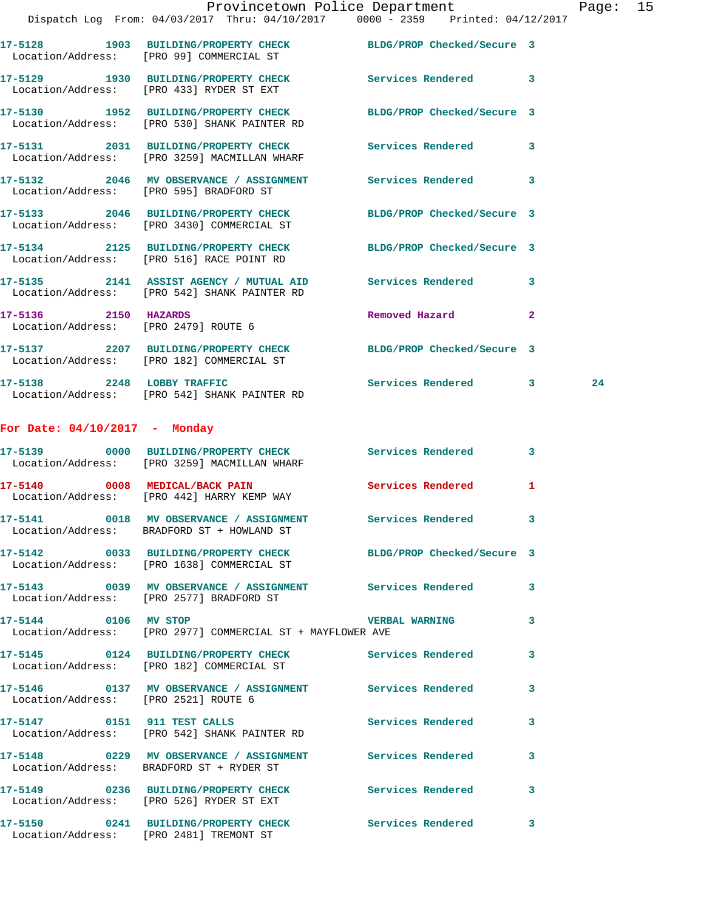|                                 | Dispatch Log From: 04/03/2017 Thru: 04/10/2017 0000 - 2359 Printed: 04/12/2017                                  |                            |                |    |
|---------------------------------|-----------------------------------------------------------------------------------------------------------------|----------------------------|----------------|----|
|                                 | 17-5128 1903 BUILDING/PROPERTY CHECK<br>Location/Address: [PRO 99] COMMERCIAL ST                                | BLDG/PROP Checked/Secure 3 |                |    |
|                                 | 17-5129 1930 BUILDING/PROPERTY CHECK Services Rendered 3<br>Location/Address: [PRO 433] RYDER ST EXT            |                            |                |    |
|                                 | 17-5130 1952 BUILDING/PROPERTY CHECK BLDG/PROP Checked/Secure 3<br>Location/Address: [PRO 530] SHANK PAINTER RD |                            |                |    |
|                                 | 17-5131 2031 BUILDING/PROPERTY CHECK<br>Location/Address: [PRO 3259] MACMILLAN WHARF                            | Services Rendered 3        |                |    |
|                                 | 17-5132 2046 MV OBSERVANCE / ASSIGNMENT<br>Location/Address: [PRO 595] BRADFORD ST                              | Services Rendered 3        |                |    |
|                                 | 17-5133 2046 BUILDING/PROPERTY CHECK<br>Location/Address: [PRO 3430] COMMERCIAL ST                              | BLDG/PROP Checked/Secure 3 |                |    |
|                                 | 17-5134 2125 BUILDING/PROPERTY CHECK BLDG/PROP Checked/Secure 3<br>Location/Address: [PRO 516] RACE POINT RD    |                            |                |    |
|                                 | 17-5135 2141 ASSIST AGENCY / MUTUAL AID Services Rendered 3<br>Location/Address: [PRO 542] SHANK PAINTER RD     |                            |                |    |
| 17-5136 2150 HAZARDS            | Location/Address: [PRO 2479] ROUTE 6                                                                            | Removed Hazard             | $\overline{2}$ |    |
|                                 | 17-5137 2207 BUILDING/PROPERTY CHECK<br>Location/Address: [PRO 182] COMMERCIAL ST                               | BLDG/PROP Checked/Secure 3 |                |    |
|                                 | 17-5138 2248 LOBBY TRAFFIC<br>Location/Address: [PRO 542] SHANK PAINTER RD                                      | Services Rendered 3        |                | 24 |
| For Date: $04/10/2017$ - Monday |                                                                                                                 |                            |                |    |
|                                 | 17-5139 0000 BUILDING/PROPERTY CHECK<br>Location/Address: [PRO 3259] MACMILLAN WHARF                            | Services Rendered 3        |                |    |
| 17-5140 0008 MEDICAL/BACK PAIN  | Location/Address: [PRO 442] HARRY KEMP WAY                                                                      | <b>Services Rendered</b>   | $\mathbf{1}$   |    |
|                                 | 17-5141 0018 MV OBSERVANCE / ASSIGNMENT Services Rendered 3<br>Location/Address: BRADFORD ST + HOWLAND ST       |                            |                |    |
|                                 | 17-5142 0033 BUILDING/PROPERTY CHECK BLDG/PROP Checked/Secure 3<br>Location/Address: [PRO 1638] COMMERCIAL ST   |                            |                |    |
|                                 | 17-5143 0039 MV OBSERVANCE / ASSIGNMENT Services Rendered 3<br>Location/Address: [PRO 2577] BRADFORD ST         |                            |                |    |
|                                 |                                                                                                                 |                            |                |    |

**17-5145 0124 BUILDING/PROPERTY CHECK Services Rendered 3** 

**17-5146 0137 MV OBSERVANCE / ASSIGNMENT Services Rendered 3** 

**17-5147 0151 911 TEST CALLS Services Rendered 3** 

**17-5144 0106 MV STOP VERBAL WARNING 3**  Location/Address: [PRO 2977] COMMERCIAL ST + MAYFLOWER AVE

Location/Address: [PRO 182] COMMERCIAL ST

Location/Address: [PRO 2521] ROUTE 6

Location/Address: [PRO 542] SHANK PAINTER RD

**17-5148 0229 MV OBSERVANCE / ASSIGNMENT Services Rendered 3**  Location/Address: BRADFORD ST + RYDER ST

**17-5149 0236 BUILDING/PROPERTY CHECK Services Rendered 3** 

 Location/Address: [PRO 526] RYDER ST EXT **17-5150 0241 BUILDING/PROPERTY CHECK Services Rendered 3** 

Location/Address: [PRO 2481] TREMONT ST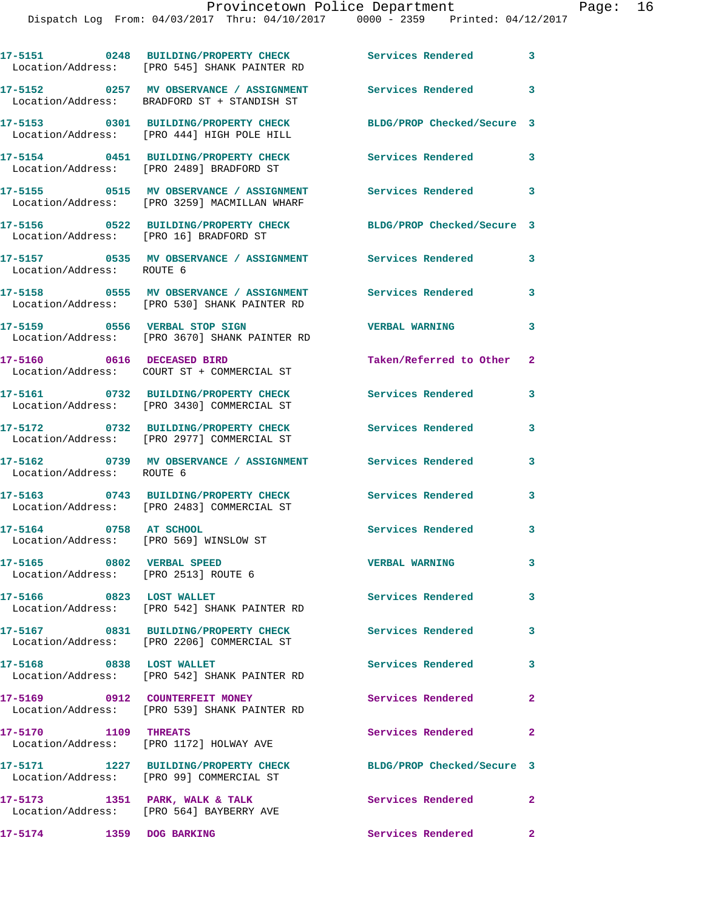|                                                                   | 17-5151 0248 BUILDING/PROPERTY CHECK Services Rendered<br>Location/Address: [PRO 545] SHANK PAINTER RD       |                            | $\mathbf{3}$               |
|-------------------------------------------------------------------|--------------------------------------------------------------------------------------------------------------|----------------------------|----------------------------|
|                                                                   | 17-5152 0257 MV OBSERVANCE / ASSIGNMENT<br>Location/Address: BRADFORD ST + STANDISH ST                       | <b>Services Rendered</b>   | $\mathbf{3}$               |
|                                                                   | 17-5153 0301 BUILDING/PROPERTY CHECK<br>Location/Address: [PRO 444] HIGH POLE HILL                           | BLDG/PROP Checked/Secure 3 |                            |
|                                                                   | 17-5154 0451 BUILDING/PROPERTY CHECK<br>Location/Address: [PRO 2489] BRADFORD ST                             | Services Rendered          | 3                          |
|                                                                   | 17-5155 0515 MV OBSERVANCE / ASSIGNMENT<br>Location/Address: [PRO 3259] MACMILLAN WHARF                      | <b>Services Rendered</b>   | $\overline{\mathbf{3}}$    |
| Location/Address: [PRO 16] BRADFORD ST                            | 17-5156 0522 BUILDING/PROPERTY CHECK                                                                         | BLDG/PROP Checked/Secure 3 |                            |
| Location/Address: ROUTE 6                                         | 17-5157 0535 MV OBSERVANCE / ASSIGNMENT Services Rendered                                                    |                            | 3                          |
|                                                                   | 17-5158 		 0555 MV OBSERVANCE / ASSIGNMENT Services Rendered<br>Location/Address: [PRO 530] SHANK PAINTER RD |                            | $\overline{\phantom{a}}$ 3 |
|                                                                   | 17-5159 0556 VERBAL STOP SIGN<br>Location/Address: [PRO 3670] SHANK PAINTER RD                               | <b>VERBAL WARNING</b>      | 3                          |
| 17-5160 0616 DECEASED BIRD                                        | Location/Address: COURT ST + COMMERCIAL ST                                                                   | Taken/Referred to Other 2  |                            |
|                                                                   | 17-5161 0732 BUILDING/PROPERTY CHECK<br>Location/Address: [PRO 3430] COMMERCIAL ST                           | <b>Services Rendered</b>   | 3                          |
|                                                                   | 17-5172 0732 BUILDING/PROPERTY CHECK<br>Location/Address: [PRO 2977] COMMERCIAL ST                           | Services Rendered          | 3                          |
| Location/Address: ROUTE 6                                         | 17-5162 0739 MV OBSERVANCE / ASSIGNMENT Services Rendered                                                    |                            | 3                          |
|                                                                   | 17-5163 0743 BUILDING/PROPERTY CHECK<br>Location/Address: [PRO 2483] COMMERCIAL ST                           | Services Rendered          | 3                          |
| 17-5164 0758 AT SCHOOL<br>Location/Address: [PRO 569] WINSLOW ST  |                                                                                                              | Services Rendered          | 3                          |
| 17-5165 0802 VERBAL SPEED<br>Location/Address: [PRO 2513] ROUTE 6 |                                                                                                              | <b>VERBAL WARNING</b>      | 3                          |
| 17-5166 0823 LOST WALLET                                          | Location/Address: [PRO 542] SHANK PAINTER RD                                                                 | Services Rendered          | 3                          |
|                                                                   | 17-5167 0831 BUILDING/PROPERTY CHECK<br>Location/Address: [PRO 2206] COMMERCIAL ST                           | <b>Services Rendered</b>   | $\overline{\mathbf{3}}$    |
| 17-5168 0838 LOST WALLET                                          | Location/Address: [PRO 542] SHANK PAINTER RD                                                                 | Services Rendered          | 3                          |
| 17-5169 0912 COUNTERFEIT MONEY                                    | Location/Address: [PRO 539] SHANK PAINTER RD                                                                 | Services Rendered          | $\mathbf{2}$               |
| 17-5170 1109 THREATS                                              | Location/Address: [PRO 1172] HOLWAY AVE                                                                      | Services Rendered          | $\mathbf{2}$               |
|                                                                   | 17-5171 1227 BUILDING/PROPERTY CHECK<br>Location/Address: [PRO 99] COMMERCIAL ST                             | BLDG/PROP Checked/Secure 3 |                            |
|                                                                   | 17-5173 1351 PARK, WALK & TALK<br>Location/Address: [PRO 564] BAYBERRY AVE                                   | Services Rendered          | $\mathbf{2}$               |

17-5174 1359 DOG BARKING **17-5174** Services Rendered 2